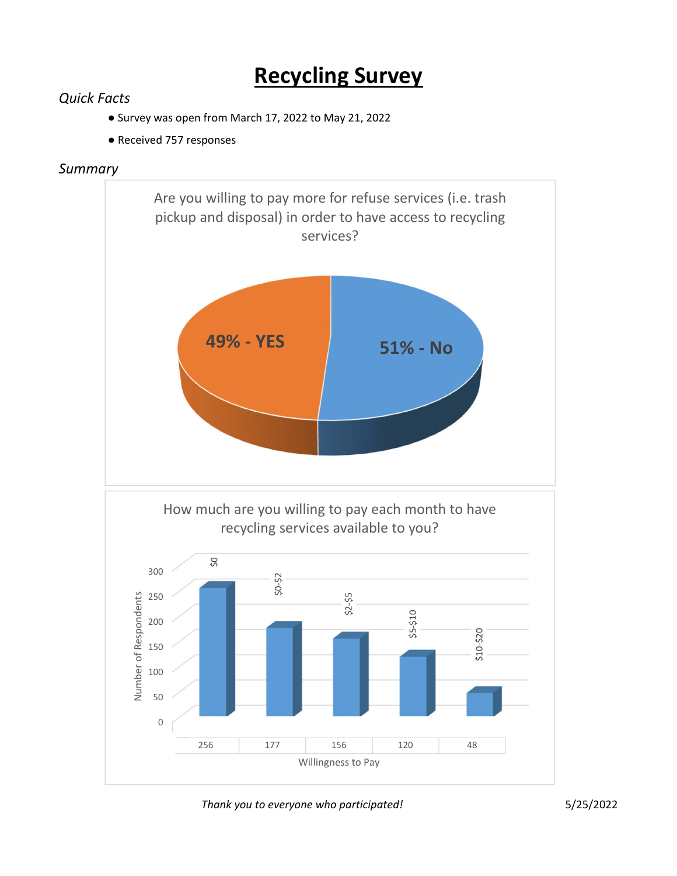## **Recycling Survey**

## *Quick Facts*

- Survey was open from March 17, 2022 to May 21, 2022
- Received 757 responses

## *Summary*



*Thank you to everyone who participated!*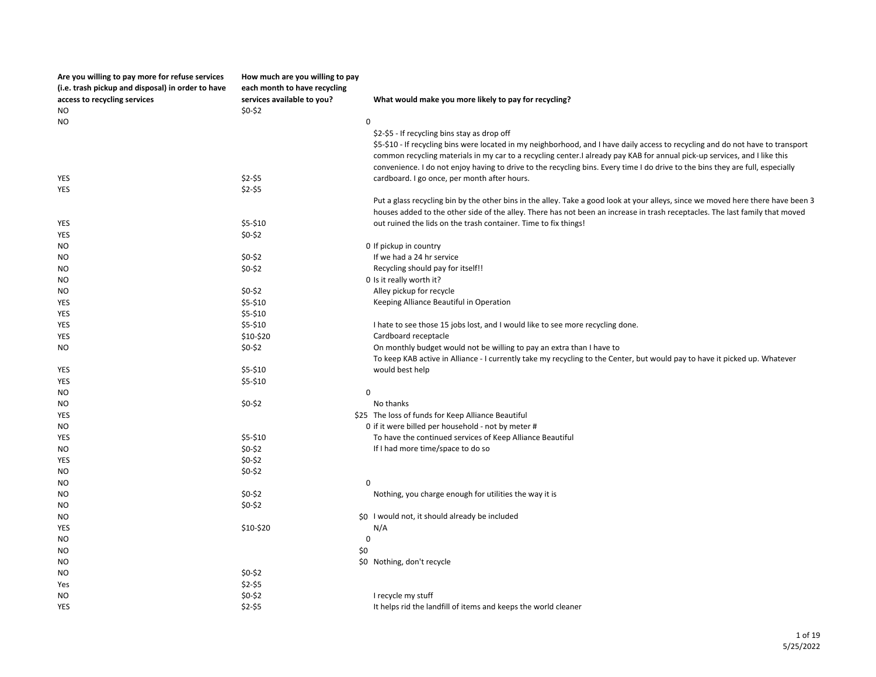| Are you willing to pay more for refuse services   | How much are you willing to pay |                                                                                                                                  |
|---------------------------------------------------|---------------------------------|----------------------------------------------------------------------------------------------------------------------------------|
| (i.e. trash pickup and disposal) in order to have | each month to have recycling    |                                                                                                                                  |
| access to recycling services                      | services available to you?      | What would make you more likely to pay for recycling?                                                                            |
| NO.                                               | \$0-\$2                         |                                                                                                                                  |
| NO                                                |                                 | $\mathbf 0$                                                                                                                      |
|                                                   |                                 | \$2-\$5 - If recycling bins stay as drop off                                                                                     |
|                                                   |                                 | \$5-\$10 - If recycling bins were located in my neighborhood, and I have daily access to recycling and do not have to transport  |
|                                                   |                                 | common recycling materials in my car to a recycling center. I already pay KAB for annual pick-up services, and I like this       |
|                                                   |                                 | convenience. I do not enjoy having to drive to the recycling bins. Every time I do drive to the bins they are full, especially   |
| YES                                               | \$2-\$5                         | cardboard. I go once, per month after hours.                                                                                     |
| YES                                               | $$2-$5$                         |                                                                                                                                  |
|                                                   |                                 | Put a glass recycling bin by the other bins in the alley. Take a good look at your alleys, since we moved here there have been 3 |
|                                                   |                                 | houses added to the other side of the alley. There has not been an increase in trash receptacles. The last family that moved     |
| YES                                               | \$5-\$10                        | out ruined the lids on the trash container. Time to fix things!                                                                  |
| YES                                               | $$0-$2$                         |                                                                                                                                  |
| NO                                                |                                 | 0 If pickup in country                                                                                                           |
| NO                                                | $$0-$2$                         | If we had a 24 hr service                                                                                                        |
| <b>NO</b>                                         | $$0-$2$                         | Recycling should pay for itself!!                                                                                                |
| <b>NO</b>                                         |                                 | 0 Is it really worth it?                                                                                                         |
| NO                                                | $$0-$2$                         | Alley pickup for recycle                                                                                                         |
| YES                                               | \$5-\$10                        | Keeping Alliance Beautiful in Operation                                                                                          |
| YES                                               | \$5-\$10                        |                                                                                                                                  |
| YES                                               | \$5-\$10                        | I hate to see those 15 jobs lost, and I would like to see more recycling done.                                                   |
| YES                                               | \$10-\$20                       | Cardboard receptacle                                                                                                             |
| NO                                                | $$0-$2$                         | On monthly budget would not be willing to pay an extra than I have to                                                            |
|                                                   |                                 | To keep KAB active in Alliance - I currently take my recycling to the Center, but would pay to have it picked up. Whatever       |
| YES                                               | \$5-\$10                        | would best help                                                                                                                  |
| YES                                               | \$5-\$10                        |                                                                                                                                  |
| NO                                                |                                 | $\mathbf 0$                                                                                                                      |
| NO                                                | $$0-$2$                         | No thanks                                                                                                                        |
| YES                                               |                                 | \$25 The loss of funds for Keep Alliance Beautiful                                                                               |
| ΝO                                                |                                 | 0 if it were billed per household - not by meter #                                                                               |
| YES                                               | \$5-\$10                        | To have the continued services of Keep Alliance Beautiful                                                                        |
| NO                                                | $$0-$2$                         | If I had more time/space to do so                                                                                                |
| YES                                               | $$0-$2$                         |                                                                                                                                  |
| <b>NO</b>                                         | $$0-$2$                         |                                                                                                                                  |
| NO                                                |                                 | $\mathbf 0$                                                                                                                      |
| NO                                                | $$0-$2$                         | Nothing, you charge enough for utilities the way it is                                                                           |
| NO                                                | $$0-$2$                         |                                                                                                                                  |
| NO                                                |                                 | \$0 I would not, it should already be included                                                                                   |
| YES                                               | \$10-\$20                       | N/A                                                                                                                              |
| <b>NO</b>                                         |                                 | $\pmb{0}$                                                                                                                        |
| NO                                                |                                 | \$0                                                                                                                              |
| NO                                                |                                 | \$0 Nothing, don't recycle                                                                                                       |
| NO                                                | $$0-$2$                         |                                                                                                                                  |
| Yes                                               | $$2-$5$                         |                                                                                                                                  |
| NO                                                | \$0-\$2                         | I recycle my stuff                                                                                                               |
| YES                                               | $$2-$5$                         | It helps rid the landfill of items and keeps the world cleaner                                                                   |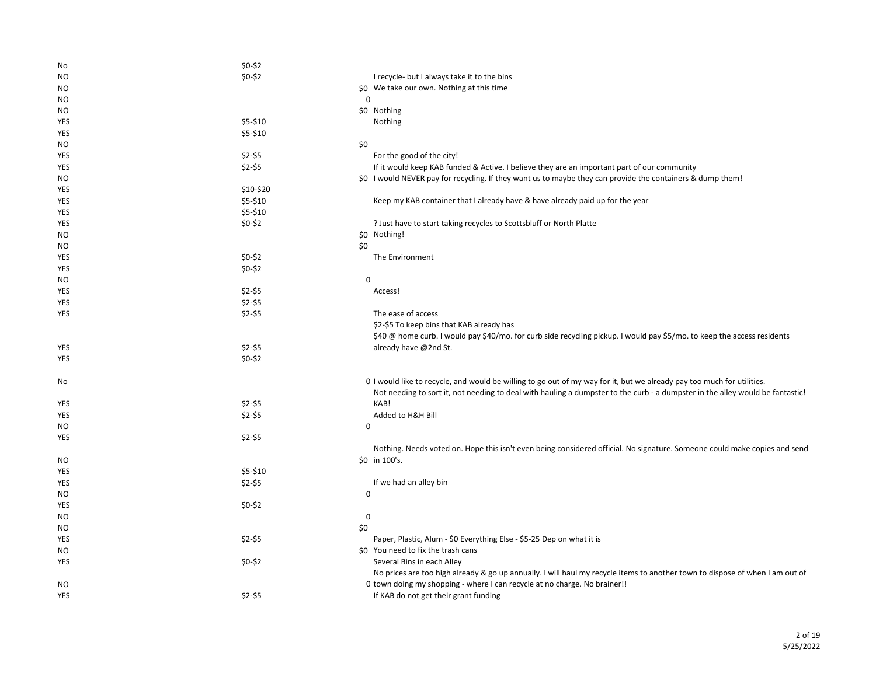| No        | \$0-\$2   |                                                                                                                               |
|-----------|-----------|-------------------------------------------------------------------------------------------------------------------------------|
| <b>NO</b> | $$0-$2$   | I recycle- but I always take it to the bins                                                                                   |
| NO        |           | \$0 We take our own. Nothing at this time                                                                                     |
| NO        |           | $\mathbf 0$                                                                                                                   |
| NO        |           | \$0 Nothing                                                                                                                   |
| YES       | \$5-\$10  | Nothing                                                                                                                       |
| YES       | \$5-\$10  |                                                                                                                               |
| NO        |           | \$0                                                                                                                           |
| YES       | $$2-$5$   | For the good of the city!                                                                                                     |
| YES       | $$2-$5$   | If it would keep KAB funded & Active. I believe they are an important part of our community                                   |
| NO.       |           | \$0 I would NEVER pay for recycling. If they want us to maybe they can provide the containers & dump them!                    |
| YES       | \$10-\$20 |                                                                                                                               |
| YES       | \$5-\$10  | Keep my KAB container that I already have & have already paid up for the year                                                 |
| YES       | \$5-\$10  |                                                                                                                               |
| YES       | \$0-\$2   | ? Just have to start taking recycles to Scottsbluff or North Platte                                                           |
| NO.       |           | \$0 Nothing!                                                                                                                  |
| NO.       |           | \$0                                                                                                                           |
| YES       | $$0-$2$   | The Environment                                                                                                               |
| YES       | $$0-$2$   |                                                                                                                               |
| NO        |           | $\mathbf 0$                                                                                                                   |
| YES       | $$2-$5$   | Access!                                                                                                                       |
| YES       | $$2-$5$   |                                                                                                                               |
| YES       | $$2-$5$   | The ease of access                                                                                                            |
|           |           | \$2-\$5 To keep bins that KAB already has                                                                                     |
|           |           | \$40 @ home curb. I would pay \$40/mo. for curb side recycling pickup. I would pay \$5/mo. to keep the access residents       |
| YES       | $$2-$5$   | already have @2nd St.                                                                                                         |
| YES       | $$0-$2$   |                                                                                                                               |
|           |           |                                                                                                                               |
| No        |           | 0 I would like to recycle, and would be willing to go out of my way for it, but we already pay too much for utilities.        |
|           |           | Not needing to sort it, not needing to deal with hauling a dumpster to the curb - a dumpster in the alley would be fantastic! |
| YES       | $$2-$5$   | KAB!                                                                                                                          |
| YES       | $$2-$5$   | Added to H&H Bill                                                                                                             |
| NO        |           | $\mathbf 0$                                                                                                                   |
| YES       | $$2-$5$   |                                                                                                                               |
|           |           | Nothing. Needs voted on. Hope this isn't even being considered official. No signature. Someone could make copies and send     |
| NO        |           | \$0 in 100's.                                                                                                                 |
| YES       | \$5-\$10  |                                                                                                                               |
|           |           |                                                                                                                               |
| YES       | $$2-55$   | If we had an alley bin                                                                                                        |
| NO        |           | $\mathbf 0$                                                                                                                   |
| YES       | $$0-$2$   |                                                                                                                               |
| NO        |           | 0                                                                                                                             |
| NO        |           | \$0                                                                                                                           |
| YES       | $$2-$5$   | Paper, Plastic, Alum - \$0 Everything Else - \$5-25 Dep on what it is                                                         |
| NO        |           | \$0 You need to fix the trash cans                                                                                            |
| YES       | $$0-$2$   | Several Bins in each Alley                                                                                                    |
|           |           | No prices are too high already & go up annually. I will haul my recycle items to another town to dispose of when I am out of  |
| NO        |           | 0 town doing my shopping - where I can recycle at no charge. No brainer!!                                                     |
| YES       | $$2-$5$   | If KAB do not get their grant funding                                                                                         |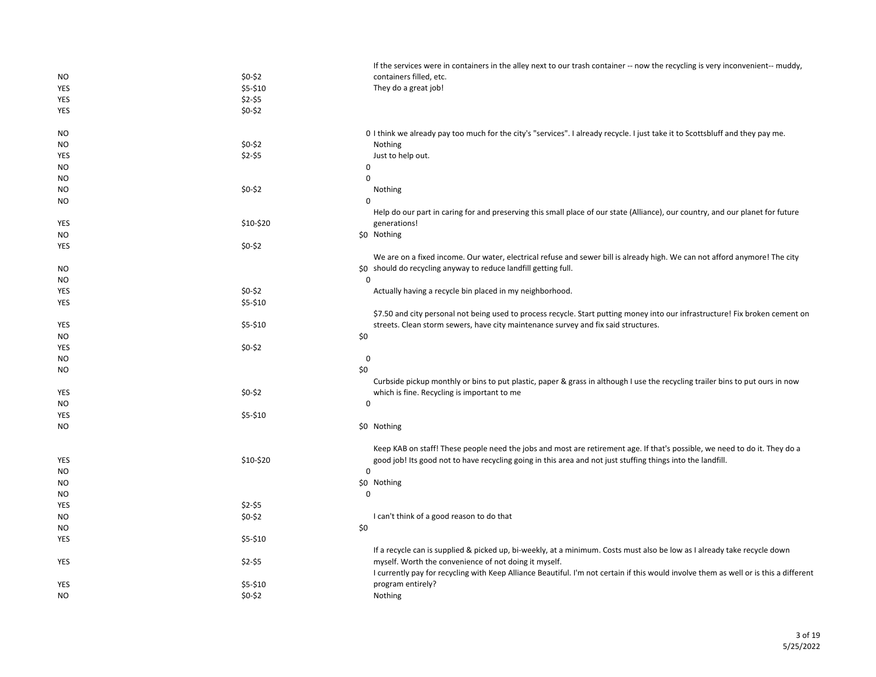|            |           | If the services were in containers in the alley next to our trash container -- now the recycling is very inconvenient-- muddy,        |
|------------|-----------|---------------------------------------------------------------------------------------------------------------------------------------|
| NO         | $$0-$2$   | containers filled, etc.                                                                                                               |
| YES        | \$5-\$10  | They do a great job!                                                                                                                  |
| YES        | $$2-$5$   |                                                                                                                                       |
| YES        | $$0-$2$   |                                                                                                                                       |
|            |           |                                                                                                                                       |
| NO         |           | O I think we already pay too much for the city's "services". I already recycle. I just take it to Scottsbluff and they pay me.        |
| NO         | $$0-$2$   | Nothing                                                                                                                               |
| YES        | $$2-$5$   | Just to help out.                                                                                                                     |
| <b>NO</b>  |           | $\mathbf 0$                                                                                                                           |
| NO.        |           | $\mathbf 0$                                                                                                                           |
| NO         | $$0-$2$   | Nothing                                                                                                                               |
| NO         |           | 0                                                                                                                                     |
|            |           | Help do our part in caring for and preserving this small place of our state (Alliance), our country, and our planet for future        |
| YES        | \$10-\$20 | generations!                                                                                                                          |
| NO         |           | \$0 Nothing                                                                                                                           |
| YES        | $$0-$2$   |                                                                                                                                       |
|            |           | We are on a fixed income. Our water, electrical refuse and sewer bill is already high. We can not afford anymore! The city            |
|            |           |                                                                                                                                       |
| <b>NO</b>  |           | \$0 should do recycling anyway to reduce landfill getting full.                                                                       |
| NO         |           | $\mathbf 0$                                                                                                                           |
| YES        | $$0-$2$   | Actually having a recycle bin placed in my neighborhood.                                                                              |
| YES        | \$5-\$10  |                                                                                                                                       |
|            |           | \$7.50 and city personal not being used to process recycle. Start putting money into our infrastructure! Fix broken cement on         |
| <b>YES</b> | \$5-\$10  | streets. Clean storm sewers, have city maintenance survey and fix said structures.                                                    |
| NO.        |           | \$0                                                                                                                                   |
| YES        | $$0-$2$   |                                                                                                                                       |
| NO.        |           | 0                                                                                                                                     |
| NO.        |           | \$0                                                                                                                                   |
|            |           | Curbside pickup monthly or bins to put plastic, paper & grass in although I use the recycling trailer bins to put ours in now         |
| YES        | $$0-$2$   | which is fine. Recycling is important to me                                                                                           |
| NO.        |           | $\mathbf 0$                                                                                                                           |
| <b>YES</b> | \$5-\$10  |                                                                                                                                       |
| NO         |           | \$0 Nothing                                                                                                                           |
|            |           |                                                                                                                                       |
|            |           | Keep KAB on staff! These people need the jobs and most are retirement age. If that's possible, we need to do it. They do a            |
| YES        | \$10-\$20 | good job! Its good not to have recycling going in this area and not just stuffing things into the landfill.                           |
| NO.        |           | $\mathbf 0$                                                                                                                           |
| NO.        |           | \$0 Nothing                                                                                                                           |
| NO         |           | $\mathbf 0$                                                                                                                           |
| YES        | $$2-$5$   |                                                                                                                                       |
| NO.        | $$0-$2$   | I can't think of a good reason to do that                                                                                             |
| NO         |           | \$0                                                                                                                                   |
|            |           |                                                                                                                                       |
| YES        | \$5-\$10  |                                                                                                                                       |
|            |           | If a recycle can is supplied & picked up, bi-weekly, at a minimum. Costs must also be low as I already take recycle down              |
| <b>YES</b> | \$2-\$5   | myself. Worth the convenience of not doing it myself.                                                                                 |
|            |           | I currently pay for recycling with Keep Alliance Beautiful. I'm not certain if this would involve them as well or is this a different |
| YES        | $$5-$10$  | program entirely?                                                                                                                     |
| NO.        | $$0-$2$   | Nothing                                                                                                                               |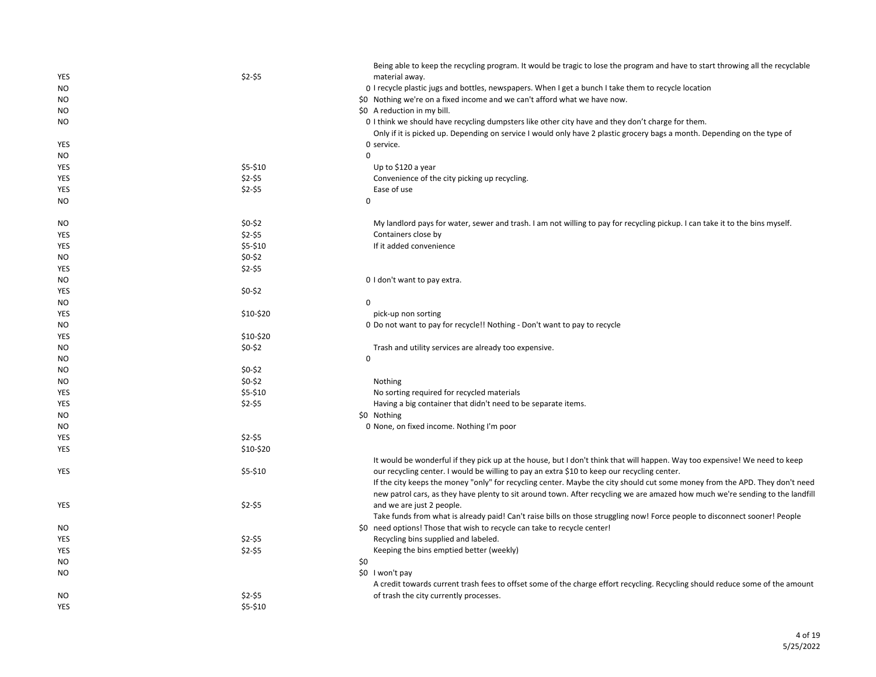|                |           | Being able to keep the recycling program. It would be tragic to lose the program and have to start throwing all the recyclable |
|----------------|-----------|--------------------------------------------------------------------------------------------------------------------------------|
| YES            | $$2-$5$   | material away.                                                                                                                 |
| NO.            |           | 0 I recycle plastic jugs and bottles, newspapers. When I get a bunch I take them to recycle location                           |
| NO             |           | \$0 Nothing we're on a fixed income and we can't afford what we have now.                                                      |
| NO             |           | \$0 A reduction in my bill.                                                                                                    |
| NO             |           | O I think we should have recycling dumpsters like other city have and they don't charge for them.                              |
|                |           | Only if it is picked up. Depending on service I would only have 2 plastic grocery bags a month. Depending on the type of       |
| <b>YES</b>     |           | 0 service.                                                                                                                     |
| NO             |           | $\Omega$                                                                                                                       |
| YES            | \$5-\$10  | Up to \$120 a year                                                                                                             |
| YES            | $$2-$5$   | Convenience of the city picking up recycling.                                                                                  |
| YES            | $$2-$5$   | Ease of use                                                                                                                    |
| <b>NO</b>      |           | $\Omega$                                                                                                                       |
|                |           |                                                                                                                                |
| NO             | $$0-$2$   | My landlord pays for water, sewer and trash. I am not willing to pay for recycling pickup. I can take it to the bins myself.   |
| YES            | $$2-$5$   | Containers close by                                                                                                            |
| YES            | \$5-\$10  | If it added convenience                                                                                                        |
| NO             | $$0-$2$   |                                                                                                                                |
| YES            | $$2-$5$   |                                                                                                                                |
| <b>NO</b>      |           | 0 I don't want to pay extra.                                                                                                   |
| YES            | $$0-$2$   |                                                                                                                                |
| NO             |           | 0                                                                                                                              |
| YES            | \$10-\$20 | pick-up non sorting                                                                                                            |
| NO             |           | 0 Do not want to pay for recycle!! Nothing - Don't want to pay to recycle                                                      |
| <b>YES</b>     | \$10-\$20 |                                                                                                                                |
| N <sub>O</sub> | $$0-$2$   | Trash and utility services are already too expensive.                                                                          |
| NO             |           | $\mathbf 0$                                                                                                                    |
| NO             | $$0-$2$   |                                                                                                                                |
| <b>NO</b>      | \$0-\$2   | Nothing                                                                                                                        |
| YES            | \$5-\$10  | No sorting required for recycled materials                                                                                     |
| <b>YES</b>     | $$2-$5$   | Having a big container that didn't need to be separate items.                                                                  |
| NO             |           | \$0 Nothing                                                                                                                    |
| ΝO             |           | 0 None, on fixed income. Nothing I'm poor                                                                                      |
| YES            | $$2-55$   |                                                                                                                                |
| YES            | \$10-\$20 |                                                                                                                                |
|                |           | It would be wonderful if they pick up at the house, but I don't think that will happen. Way too expensive! We need to keep     |
| <b>YES</b>     | \$5-\$10  | our recycling center. I would be willing to pay an extra \$10 to keep our recycling center.                                    |
|                |           | If the city keeps the money "only" for recycling center. Maybe the city should cut some money from the APD. They don't need    |
|                |           | new patrol cars, as they have plenty to sit around town. After recycling we are amazed how much we're sending to the landfill  |
| YES            | $$2-$5$   | and we are just 2 people.                                                                                                      |
|                |           | Take funds from what is already paid! Can't raise bills on those struggling now! Force people to disconnect sooner! People     |
| NO             |           | \$0 need options! Those that wish to recycle can take to recycle center!                                                       |
| YES            | \$2-\$5   | Recycling bins supplied and labeled.                                                                                           |
| <b>YES</b>     | $$2-$5$   | Keeping the bins emptied better (weekly)                                                                                       |
|                |           | \$0                                                                                                                            |
| NO<br>NO       |           | \$0 I won't pay                                                                                                                |
|                |           | A credit towards current trash fees to offset some of the charge effort recycling. Recycling should reduce some of the amount  |
| NO             | \$2-\$5   | of trash the city currently processes.                                                                                         |
| <b>YES</b>     | \$5-\$10  |                                                                                                                                |
|                |           |                                                                                                                                |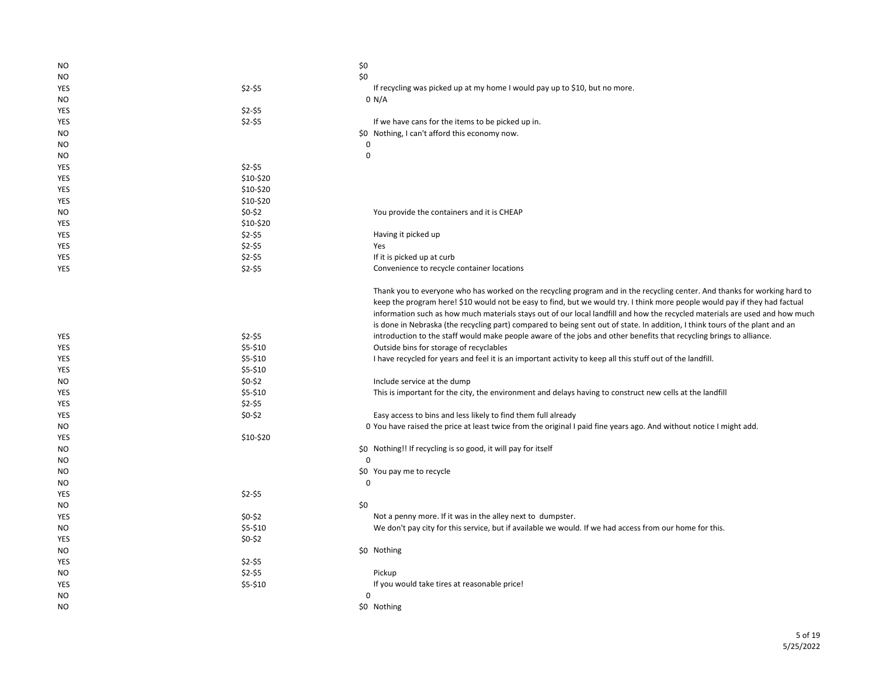| <b>NO</b>  |           | $$0$$                                                                                                                                                                                                                                                                                                                                                                                  |
|------------|-----------|----------------------------------------------------------------------------------------------------------------------------------------------------------------------------------------------------------------------------------------------------------------------------------------------------------------------------------------------------------------------------------------|
| <b>NO</b>  |           | \$0                                                                                                                                                                                                                                                                                                                                                                                    |
| YES        | $$2-$5$   | If recycling was picked up at my home I would pay up to \$10, but no more.                                                                                                                                                                                                                                                                                                             |
| NO         |           | 0 N/A                                                                                                                                                                                                                                                                                                                                                                                  |
| YES        | $$2-$5$   |                                                                                                                                                                                                                                                                                                                                                                                        |
| YES        | $$2-$5$   | If we have cans for the items to be picked up in.                                                                                                                                                                                                                                                                                                                                      |
| NO         |           | \$0 Nothing, I can't afford this economy now.                                                                                                                                                                                                                                                                                                                                          |
| NO.        |           | 0                                                                                                                                                                                                                                                                                                                                                                                      |
| NO         |           | $\mathbf 0$                                                                                                                                                                                                                                                                                                                                                                            |
| YES        | $$2-$5$   |                                                                                                                                                                                                                                                                                                                                                                                        |
| YES        | \$10-\$20 |                                                                                                                                                                                                                                                                                                                                                                                        |
| YES        | \$10-\$20 |                                                                                                                                                                                                                                                                                                                                                                                        |
| YES        | \$10-\$20 |                                                                                                                                                                                                                                                                                                                                                                                        |
| NO         | $$0-$2$   | You provide the containers and it is CHEAP                                                                                                                                                                                                                                                                                                                                             |
| YES        | \$10-\$20 |                                                                                                                                                                                                                                                                                                                                                                                        |
| YES        | $$2-$5$   | Having it picked up                                                                                                                                                                                                                                                                                                                                                                    |
| YES        | $$2-$5$   | Yes                                                                                                                                                                                                                                                                                                                                                                                    |
| YES        | $$2-$5$   | If it is picked up at curb                                                                                                                                                                                                                                                                                                                                                             |
| YES        | $$2-$5$   | Convenience to recycle container locations                                                                                                                                                                                                                                                                                                                                             |
|            |           | Thank you to everyone who has worked on the recycling program and in the recycling center. And thanks for working hard to<br>keep the program here! \$10 would not be easy to find, but we would try. I think more people would pay if they had factual<br>information such as how much materials stays out of our local landfill and how the recycled materials are used and how much |
|            | $$2-$5$   | is done in Nebraska (the recycling part) compared to being sent out of state. In addition, I think tours of the plant and an<br>introduction to the staff would make people aware of the jobs and other benefits that recycling brings to alliance.                                                                                                                                    |
| YES        | \$5-\$10  | Outside bins for storage of recyclables                                                                                                                                                                                                                                                                                                                                                |
| YES<br>YES | \$5-\$10  | I have recycled for years and feel it is an important activity to keep all this stuff out of the landfill.                                                                                                                                                                                                                                                                             |
| YES        | \$5-\$10  |                                                                                                                                                                                                                                                                                                                                                                                        |
| NO         | $$0-$2$   | Include service at the dump                                                                                                                                                                                                                                                                                                                                                            |
|            | \$5-\$10  |                                                                                                                                                                                                                                                                                                                                                                                        |
| YES        | $$2-$5$   | This is important for the city, the environment and delays having to construct new cells at the landfill                                                                                                                                                                                                                                                                               |
| YES<br>YES | $$0-$2$   | Easy access to bins and less likely to find them full already                                                                                                                                                                                                                                                                                                                          |
|            |           | 0 You have raised the price at least twice from the original I paid fine years ago. And without notice I might add.                                                                                                                                                                                                                                                                    |
| NO         | \$10-\$20 |                                                                                                                                                                                                                                                                                                                                                                                        |
| YES        |           |                                                                                                                                                                                                                                                                                                                                                                                        |
| NO         |           | \$0 Nothing!! If recycling is so good, it will pay for itself<br>$\mathbf 0$                                                                                                                                                                                                                                                                                                           |
| NO<br>NO   |           | \$0 You pay me to recycle                                                                                                                                                                                                                                                                                                                                                              |
|            |           | $\mathbf 0$                                                                                                                                                                                                                                                                                                                                                                            |
| NO         | $$2-$5$   |                                                                                                                                                                                                                                                                                                                                                                                        |
| YES<br>NO  |           | \$0                                                                                                                                                                                                                                                                                                                                                                                    |
| YES        | $$0-$2$   | Not a penny more. If it was in the alley next to dumpster.                                                                                                                                                                                                                                                                                                                             |
| NO         | \$5-\$10  | We don't pay city for this service, but if available we would. If we had access from our home for this.                                                                                                                                                                                                                                                                                |
|            |           |                                                                                                                                                                                                                                                                                                                                                                                        |
| YES        | $$0-$2$   |                                                                                                                                                                                                                                                                                                                                                                                        |
| NO         |           | \$0 Nothing                                                                                                                                                                                                                                                                                                                                                                            |
| YES        | $$2-$5$   |                                                                                                                                                                                                                                                                                                                                                                                        |
| NO.        | $$2-$5$   | Pickup                                                                                                                                                                                                                                                                                                                                                                                 |
| YES        | \$5-\$10  | If you would take tires at reasonable price!                                                                                                                                                                                                                                                                                                                                           |
| NO.        |           | $\Omega$                                                                                                                                                                                                                                                                                                                                                                               |
| NO.        |           | \$0 Nothing                                                                                                                                                                                                                                                                                                                                                                            |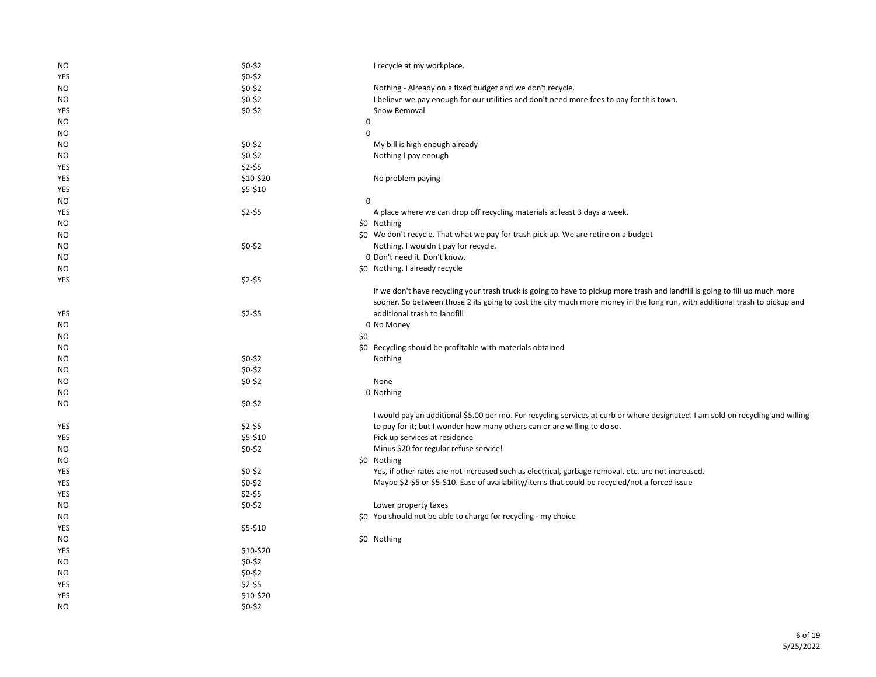| <b>NO</b> | $$0-$2$     | I recycle at my workplace.                                                                                                      |
|-----------|-------------|---------------------------------------------------------------------------------------------------------------------------------|
| YES       | $$0-$2$     |                                                                                                                                 |
| NO        | $$0-$2$     | Nothing - Already on a fixed budget and we don't recycle.                                                                       |
| NO        | $$0-$2$     | I believe we pay enough for our utilities and don't need more fees to pay for this town.                                        |
| YES       | \$0-\$2     | Snow Removal                                                                                                                    |
| NO        | 0           |                                                                                                                                 |
| NO        | $\Omega$    |                                                                                                                                 |
| NO        | $$0-$2$     | My bill is high enough already                                                                                                  |
| <b>NO</b> | $$0-$2$     | Nothing I pay enough                                                                                                            |
| YES       | $$2-$5$     |                                                                                                                                 |
| YES       | \$10-\$20   | No problem paying                                                                                                               |
| YES       | \$5-\$10    |                                                                                                                                 |
| NO        | $\mathbf 0$ |                                                                                                                                 |
| YES       | \$2-\$5     | A place where we can drop off recycling materials at least 3 days a week.                                                       |
| NO.       |             | \$0 Nothing                                                                                                                     |
| <b>NO</b> |             | \$0 We don't recycle. That what we pay for trash pick up. We are retire on a budget                                             |
| NO        | $$0-$2$     | Nothing. I wouldn't pay for recycle.                                                                                            |
| <b>NO</b> |             | 0 Don't need it. Don't know.                                                                                                    |
| NO        |             | \$0 Nothing. I already recycle                                                                                                  |
| YES       | $$2-$5$     |                                                                                                                                 |
|           |             | If we don't have recycling your trash truck is going to have to pickup more trash and landfill is going to fill up much more    |
|           |             | sooner. So between those 2 its going to cost the city much more money in the long run, with additional trash to pickup and      |
| YES       | $$2-$5$     | additional trash to landfill                                                                                                    |
| <b>NO</b> |             | 0 No Money                                                                                                                      |
| NO.       | \$0         |                                                                                                                                 |
| <b>NO</b> |             | \$0 Recycling should be profitable with materials obtained                                                                      |
| <b>NO</b> | $$0-$2$     | Nothing                                                                                                                         |
| <b>NO</b> | \$0-\$2     |                                                                                                                                 |
| <b>NO</b> | $$0-$2$     | None                                                                                                                            |
| <b>NO</b> |             | 0 Nothing                                                                                                                       |
| <b>NO</b> | $$0-$2$     |                                                                                                                                 |
|           |             | I would pay an additional \$5.00 per mo. For recycling services at curb or where designated. I am sold on recycling and willing |
| YES       | $$2-$5$     | to pay for it; but I wonder how many others can or are willing to do so.                                                        |
| YES       | \$5-\$10    | Pick up services at residence                                                                                                   |
| NO.       | \$0-\$2     | Minus \$20 for regular refuse service!                                                                                          |
| NO.       |             | \$0 Nothing                                                                                                                     |
| YES       | $$0-$2$     | Yes, if other rates are not increased such as electrical, garbage removal, etc. are not increased.                              |
| YES       | $$0-$2$     | Maybe \$2-\$5 or \$5-\$10. Ease of availability/items that could be recycled/not a forced issue                                 |
| YES       | $$2-$5$     |                                                                                                                                 |
| NO        | $$0-$2$     | Lower property taxes                                                                                                            |
| NO        |             | \$0 You should not be able to charge for recycling - my choice                                                                  |
| YES       | \$5-\$10    |                                                                                                                                 |
| <b>NO</b> |             | \$0 Nothing                                                                                                                     |
| YES       | \$10-\$20   |                                                                                                                                 |
| NO        | $$0-$2$     |                                                                                                                                 |
| NO        | $$0-$2$     |                                                                                                                                 |
| YES       | $$2-$5$     |                                                                                                                                 |
| YES       | \$10-\$20   |                                                                                                                                 |
| NO        | $$0-$2$     |                                                                                                                                 |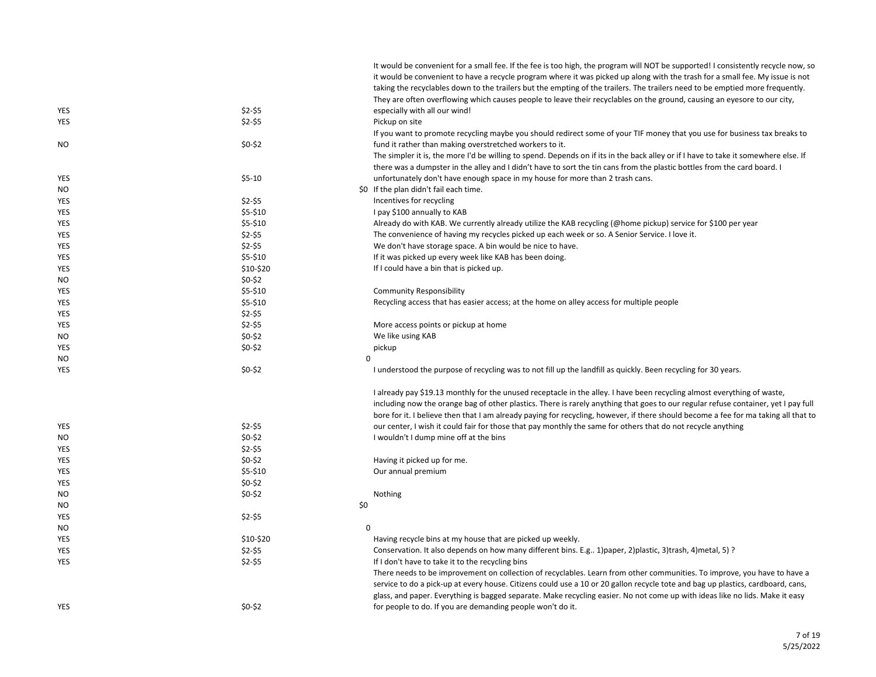|            |           | It would be convenient for a small fee. If the fee is too high, the program will NOT be supported! I consistently recycle now, so                                                                                                                           |
|------------|-----------|-------------------------------------------------------------------------------------------------------------------------------------------------------------------------------------------------------------------------------------------------------------|
|            |           | it would be convenient to have a recycle program where it was picked up along with the trash for a small fee. My issue is not                                                                                                                               |
|            |           | taking the recyclables down to the trailers but the empting of the trailers. The trailers need to be emptied more frequently.                                                                                                                               |
|            |           | They are often overflowing which causes people to leave their recyclables on the ground, causing an eyesore to our city,                                                                                                                                    |
| YES        | $$2-55$   | especially with all our wind!                                                                                                                                                                                                                               |
| YES        | $$2-$5$   | Pickup on site                                                                                                                                                                                                                                              |
|            |           | If you want to promote recycling maybe you should redirect some of your TIF money that you use for business tax breaks to                                                                                                                                   |
| <b>NO</b>  | $$0-$2$   | fund it rather than making overstretched workers to it.                                                                                                                                                                                                     |
|            |           | The simpler it is, the more I'd be willing to spend. Depends on if its in the back alley or if I have to take it somewhere else. If                                                                                                                         |
|            |           | there was a dumpster in the alley and I didn't have to sort the tin cans from the plastic bottles from the card board. I                                                                                                                                    |
| <b>YES</b> | $$5-10$   | unfortunately don't have enough space in my house for more than 2 trash cans.                                                                                                                                                                               |
| <b>NO</b>  |           | \$0 If the plan didn't fail each time.                                                                                                                                                                                                                      |
| YES        | \$2-\$5   | Incentives for recycling                                                                                                                                                                                                                                    |
| <b>YES</b> | \$5-\$10  | I pay \$100 annually to KAB                                                                                                                                                                                                                                 |
| YES        | \$5-\$10  | Already do with KAB. We currently already utilize the KAB recycling (@home pickup) service for \$100 per year                                                                                                                                               |
| YES        | $$2-$5$   | The convenience of having my recycles picked up each week or so. A Senior Service. I love it.                                                                                                                                                               |
| YES        | \$2-\$5   | We don't have storage space. A bin would be nice to have.                                                                                                                                                                                                   |
| <b>YES</b> | \$5-\$10  | If it was picked up every week like KAB has been doing.                                                                                                                                                                                                     |
| <b>YES</b> | \$10-\$20 | If I could have a bin that is picked up.                                                                                                                                                                                                                    |
| <b>NO</b>  | $$0-$2$   |                                                                                                                                                                                                                                                             |
| YES        | \$5-\$10  | <b>Community Responsibility</b>                                                                                                                                                                                                                             |
| YES        | \$5-\$10  | Recycling access that has easier access; at the home on alley access for multiple people                                                                                                                                                                    |
| <b>YES</b> | \$2-\$5   |                                                                                                                                                                                                                                                             |
| <b>YES</b> | $$2-$5$   | More access points or pickup at home                                                                                                                                                                                                                        |
| <b>NO</b>  | \$0-\$2   | We like using KAB                                                                                                                                                                                                                                           |
| <b>YES</b> | \$0-\$2   | pickup                                                                                                                                                                                                                                                      |
| <b>NO</b>  |           | 0                                                                                                                                                                                                                                                           |
| <b>YES</b> | \$0-\$2   | I understood the purpose of recycling was to not fill up the landfill as quickly. Been recycling for 30 years.                                                                                                                                              |
|            |           | I already pay \$19.13 monthly for the unused receptacle in the alley. I have been recycling almost everything of waste,                                                                                                                                     |
|            |           | including now the orange bag of other plastics. There is rarely anything that goes to our regular refuse container, yet I pay full                                                                                                                          |
|            |           | bore for it. I believe then that I am already paying for recycling, however, if there should become a fee for ma taking all that to                                                                                                                         |
| <b>YES</b> | $$2-$5$   | our center, I wish it could fair for those that pay monthly the same for others that do not recycle anything                                                                                                                                                |
| ΝO         | $$0-$2$   | I wouldn't I dump mine off at the bins                                                                                                                                                                                                                      |
| YES        | $$2-$5$   |                                                                                                                                                                                                                                                             |
| YES        | $$0-$2$   | Having it picked up for me.                                                                                                                                                                                                                                 |
| YES        | \$5-\$10  | Our annual premium                                                                                                                                                                                                                                          |
| YES        | $$0-$2$   |                                                                                                                                                                                                                                                             |
| NO         | $$0-$2$   | Nothing                                                                                                                                                                                                                                                     |
| NO         |           | \$0                                                                                                                                                                                                                                                         |
| YES        | \$2-\$5   |                                                                                                                                                                                                                                                             |
| NO         |           | $\mathbf 0$                                                                                                                                                                                                                                                 |
| YES        | \$10-\$20 | Having recycle bins at my house that are picked up weekly.                                                                                                                                                                                                  |
| YES        | $$2-$5$   | Conservation. It also depends on how many different bins. E.g 1)paper, 2)plastic, 3)trash, 4)metal, 5) ?                                                                                                                                                    |
| YES        | $$2-$5$   | If I don't have to take it to the recycling bins                                                                                                                                                                                                            |
|            |           | There needs to be improvement on collection of recyclables. Learn from other communities. To improve, you have to have a<br>service to do a pick-up at every house. Citizens could use a 10 or 20 gallon recycle tote and bag up plastics, cardboard, cans, |
|            |           | glass, and paper. Everything is bagged separate. Make recycling easier. No not come up with ideas like no lids. Make it easy                                                                                                                                |
| YES        | $$0-$2$   | for people to do. If you are demanding people won't do it.                                                                                                                                                                                                  |
|            |           |                                                                                                                                                                                                                                                             |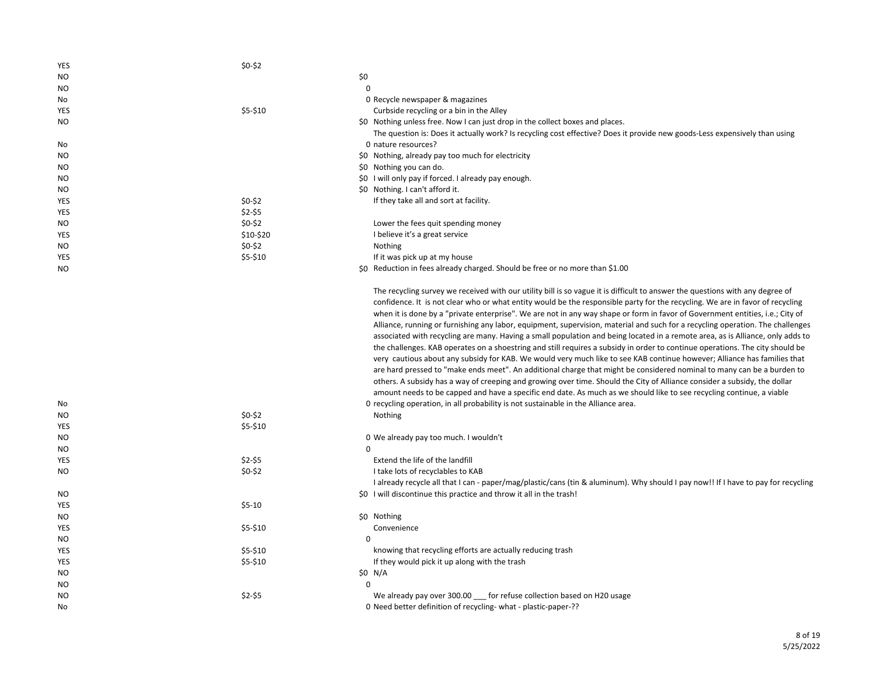| YES        | \$0-\$2   |                                                                                                                                   |
|------------|-----------|-----------------------------------------------------------------------------------------------------------------------------------|
| <b>NO</b>  |           | \$0                                                                                                                               |
| NO         |           | $\Omega$                                                                                                                          |
| No         |           | 0 Recycle newspaper & magazines                                                                                                   |
| YES        | \$5-\$10  | Curbside recycling or a bin in the Alley                                                                                          |
| NO         |           | \$0 Nothing unless free. Now I can just drop in the collect boxes and places.                                                     |
|            |           | The question is: Does it actually work? Is recycling cost effective? Does it provide new goods-Less expensively than using        |
| No         |           | 0 nature resources?                                                                                                               |
| <b>NO</b>  |           | \$0 Nothing, already pay too much for electricity                                                                                 |
| NO         |           | \$0 Nothing you can do.                                                                                                           |
| <b>NO</b>  |           | \$0 I will only pay if forced. I already pay enough.                                                                              |
| NO         |           | \$0 Nothing. I can't afford it.                                                                                                   |
| YES        | $$0-$2$   | If they take all and sort at facility.                                                                                            |
| <b>YES</b> | $$2-$5$   |                                                                                                                                   |
|            | $$0-$2$   |                                                                                                                                   |
| NO         |           | Lower the fees quit spending money                                                                                                |
| YES        | \$10-\$20 | I believe it's a great service                                                                                                    |
| NO.        | $$0-$2$   | <b>Nothing</b>                                                                                                                    |
| YES        | \$5-\$10  | If it was pick up at my house                                                                                                     |
| <b>NO</b>  |           | \$0 Reduction in fees already charged. Should be free or no more than \$1.00                                                      |
|            |           | The recycling survey we received with our utility bill is so vague it is difficult to answer the questions with any degree of     |
|            |           | confidence. It is not clear who or what entity would be the responsible party for the recycling. We are in favor of recycling     |
|            |           | when it is done by a "private enterprise". We are not in any way shape or form in favor of Government entities, i.e.; City of     |
|            |           | Alliance, running or furnishing any labor, equipment, supervision, material and such for a recycling operation. The challenges    |
|            |           | associated with recycling are many. Having a small population and being located in a remote area, as is Alliance, only adds to    |
|            |           | the challenges. KAB operates on a shoestring and still requires a subsidy in order to continue operations. The city should be     |
|            |           | very cautious about any subsidy for KAB. We would very much like to see KAB continue however; Alliance has families that          |
|            |           | are hard pressed to "make ends meet". An additional charge that might be considered nominal to many can be a burden to            |
|            |           | others. A subsidy has a way of creeping and growing over time. Should the City of Alliance consider a subsidy, the dollar         |
|            |           | amount needs to be capped and have a specific end date. As much as we should like to see recycling continue, a viable             |
| No         |           | O recycling operation, in all probability is not sustainable in the Alliance area.                                                |
| NO         | $$0-$2$   | Nothing                                                                                                                           |
|            | \$5-\$10  |                                                                                                                                   |
| YES        |           |                                                                                                                                   |
| NO         |           | 0 We already pay too much. I wouldn't<br>$\Omega$                                                                                 |
| <b>NO</b>  |           |                                                                                                                                   |
| <b>YES</b> | $$2-$5$   | Extend the life of the landfill                                                                                                   |
| NO         | $$0-$2$   | I take lots of recyclables to KAB                                                                                                 |
|            |           | I already recycle all that I can - paper/mag/plastic/cans (tin & aluminum). Why should I pay now!! If I have to pay for recycling |
| <b>NO</b>  |           | \$0 I will discontinue this practice and throw it all in the trash!                                                               |
| YES        | $$5-10$   |                                                                                                                                   |
| <b>NO</b>  |           | \$0 Nothing                                                                                                                       |
| YES        | \$5-\$10  | Convenience                                                                                                                       |
| NO         |           | 0                                                                                                                                 |
| YES        | \$5-\$10  | knowing that recycling efforts are actually reducing trash                                                                        |
| YES        | \$5-\$10  | If they would pick it up along with the trash                                                                                     |
| NO         |           | \$0 N/A                                                                                                                           |
| <b>NO</b>  |           | $\Omega$                                                                                                                          |
| <b>NO</b>  | $$2-$5$   | We already pay over 300.00 for refuse collection based on H20 usage                                                               |
| No         |           | 0 Need better definition of recycling- what - plastic-paper-??                                                                    |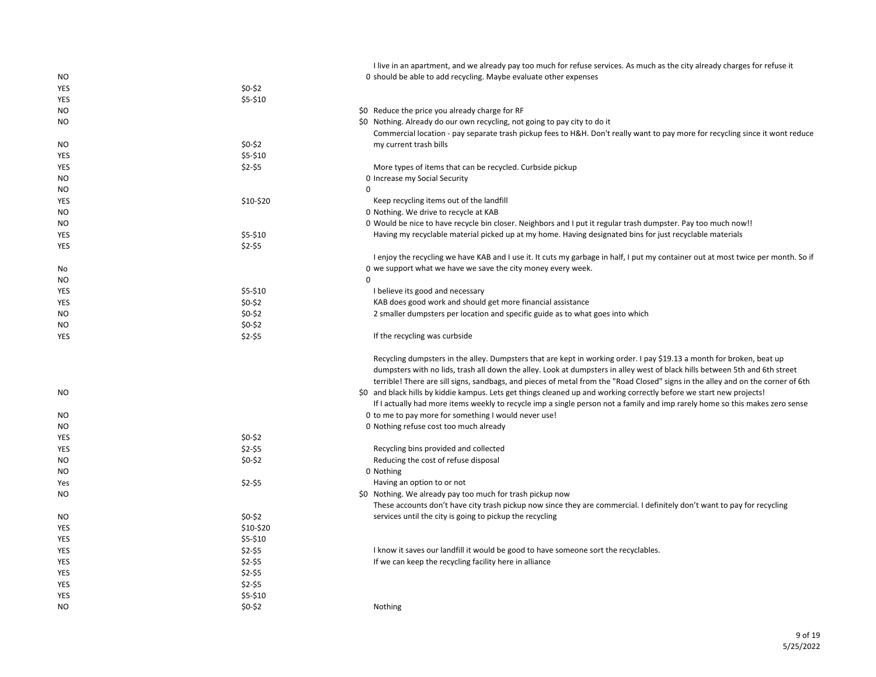|                |           | I live in an apartment, and we already pay too much for refuse services. As much as the city already charges for refuse it        |
|----------------|-----------|-----------------------------------------------------------------------------------------------------------------------------------|
| NO             |           | 0 should be able to add recycling. Maybe evaluate other expenses                                                                  |
| <b>YES</b>     | \$0-\$2   |                                                                                                                                   |
| <b>YES</b>     | \$5-\$10  |                                                                                                                                   |
| NO             |           | \$0 Reduce the price you already charge for RF                                                                                    |
| NO             |           | \$0 Nothing. Already do our own recycling, not going to pay city to do it                                                         |
|                |           | Commercial location - pay separate trash pickup fees to H&H. Don't really want to pay more for recycling since it wont reduce     |
| <b>NO</b>      | $$0-$2$   | my current trash bills                                                                                                            |
| <b>YES</b>     | \$5-\$10  |                                                                                                                                   |
| YES            | \$2-\$5   | More types of items that can be recycled. Curbside pickup                                                                         |
| NO             |           | 0 Increase my Social Security                                                                                                     |
| NO             |           | $\Omega$                                                                                                                          |
| YES            | \$10-\$20 | Keep recycling items out of the landfill                                                                                          |
| NO             |           | 0 Nothing. We drive to recycle at KAB                                                                                             |
| NO             |           | 0 Would be nice to have recycle bin closer. Neighbors and I put it regular trash dumpster. Pay too much now!!                     |
| YES            | \$5-\$10  | Having my recyclable material picked up at my home. Having designated bins for just recyclable materials                          |
| YES            | $$2-$5$   |                                                                                                                                   |
|                |           | I enjoy the recycling we have KAB and I use it. It cuts my garbage in half, I put my container out at most twice per month. So if |
| No             |           | 0 we support what we have we save the city money every week.                                                                      |
| NO             |           | $\Omega$                                                                                                                          |
| <b>YES</b>     | \$5-\$10  | I believe its good and necessary                                                                                                  |
| YES            | \$0-\$2   | KAB does good work and should get more financial assistance                                                                       |
| N <sub>O</sub> | $$0-$2$   | 2 smaller dumpsters per location and specific guide as to what goes into which                                                    |
| NO             | \$0-\$2   |                                                                                                                                   |
| <b>YES</b>     | $$2-$5$   | If the recycling was curbside                                                                                                     |
|                |           |                                                                                                                                   |
|                |           | Recycling dumpsters in the alley. Dumpsters that are kept in working order. I pay \$19.13 a month for broken, beat up             |
|                |           | dumpsters with no lids, trash all down the alley. Look at dumpsters in alley west of black hills between 5th and 6th street       |
|                |           | terrible! There are sill signs, sandbags, and pieces of metal from the "Road Closed" signs in the alley and on the corner of 6th  |
| NO             |           | \$0 and black hills by kiddie kampus. Lets get things cleaned up and working correctly before we start new projects!              |
|                |           | If I actually had more items weekly to recycle imp a single person not a family and imp rarely home so this makes zero sense      |
| NO             |           | 0 to me to pay more for something I would never use!                                                                              |
| NO             |           | 0 Nothing refuse cost too much already                                                                                            |
| YES            | $$0-$2$   |                                                                                                                                   |
| YES            | $$2-$5$   | Recycling bins provided and collected                                                                                             |
| ΝO             | $$0-$2$   | Reducing the cost of refuse disposal                                                                                              |
| <b>NO</b>      |           | 0 Nothing                                                                                                                         |
| Yes            | $$2-$5$   | Having an option to or not                                                                                                        |
| NO             |           | \$0 Nothing. We already pay too much for trash pickup now                                                                         |
|                |           | These accounts don't have city trash pickup now since they are commercial. I definitely don't want to pay for recycling           |
| NO             | \$0-\$2   | services until the city is going to pickup the recycling                                                                          |
| <b>YES</b>     | \$10-\$20 |                                                                                                                                   |
| YES            | \$5-\$10  |                                                                                                                                   |
| YES            | $$2-$5$   |                                                                                                                                   |
|                | $$2-$5$   | I know it saves our landfill it would be good to have someone sort the recyclables.                                               |
| YES            |           | If we can keep the recycling facility here in alliance                                                                            |
| YES            | $$2-55$   |                                                                                                                                   |
| YES            | $$2-$5$   |                                                                                                                                   |
| YES            | \$5-\$10  |                                                                                                                                   |
| N <sub>O</sub> | $$0-$2$   | Nothing                                                                                                                           |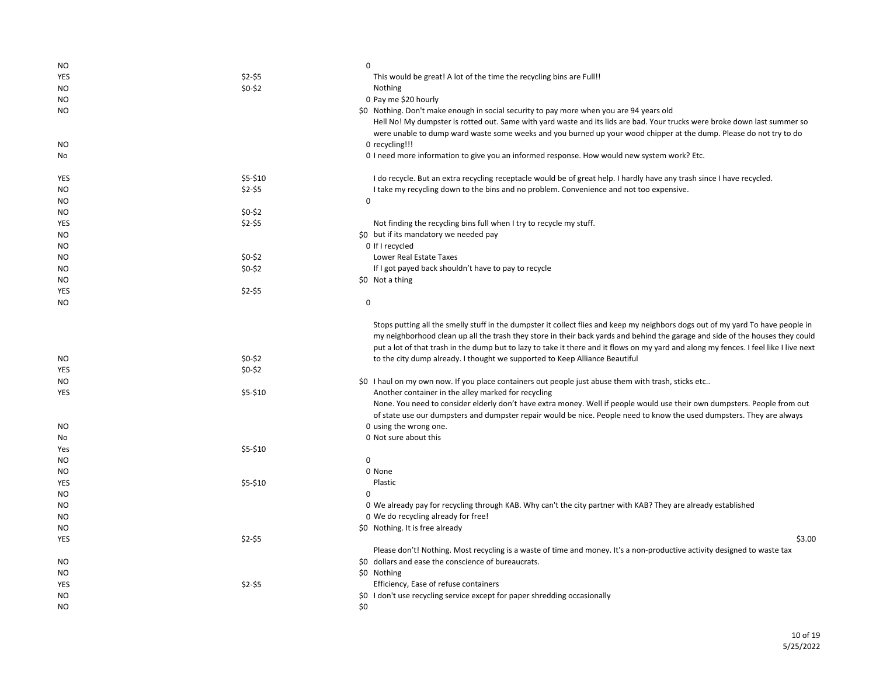| ΝO         |          | 0                                                                                                                                                                                                                                                                                                                                                                                                         |
|------------|----------|-----------------------------------------------------------------------------------------------------------------------------------------------------------------------------------------------------------------------------------------------------------------------------------------------------------------------------------------------------------------------------------------------------------|
| YES        | $$2-$5$  | This would be great! A lot of the time the recycling bins are Full!!                                                                                                                                                                                                                                                                                                                                      |
| NO         | \$0-\$2  | Nothing                                                                                                                                                                                                                                                                                                                                                                                                   |
| <b>NO</b>  |          | 0 Pay me \$20 hourly                                                                                                                                                                                                                                                                                                                                                                                      |
| <b>NO</b>  |          | \$0 Nothing. Don't make enough in social security to pay more when you are 94 years old                                                                                                                                                                                                                                                                                                                   |
|            |          | Hell No! My dumpster is rotted out. Same with yard waste and its lids are bad. Your trucks were broke down last summer so                                                                                                                                                                                                                                                                                 |
|            |          | were unable to dump ward waste some weeks and you burned up your wood chipper at the dump. Please do not try to do                                                                                                                                                                                                                                                                                        |
| NO.        |          | 0 recycling!!!                                                                                                                                                                                                                                                                                                                                                                                            |
| No         |          | O I need more information to give you an informed response. How would new system work? Etc.                                                                                                                                                                                                                                                                                                               |
| <b>YES</b> | \$5-\$10 | I do recycle. But an extra recycling receptacle would be of great help. I hardly have any trash since I have recycled.                                                                                                                                                                                                                                                                                    |
| <b>NO</b>  | $$2-$5$  | I take my recycling down to the bins and no problem. Convenience and not too expensive.                                                                                                                                                                                                                                                                                                                   |
| NO         |          | $\mathbf 0$                                                                                                                                                                                                                                                                                                                                                                                               |
| NO         | \$0-\$2  |                                                                                                                                                                                                                                                                                                                                                                                                           |
| YES        | $$2-$5$  | Not finding the recycling bins full when I try to recycle my stuff.                                                                                                                                                                                                                                                                                                                                       |
| NO         |          | \$0 but if its mandatory we needed pay                                                                                                                                                                                                                                                                                                                                                                    |
| <b>NO</b>  |          | 0 If I recycled                                                                                                                                                                                                                                                                                                                                                                                           |
| <b>NO</b>  | \$0-\$2  | Lower Real Estate Taxes                                                                                                                                                                                                                                                                                                                                                                                   |
| NO         | \$0-\$2  | If I got payed back shouldn't have to pay to recycle                                                                                                                                                                                                                                                                                                                                                      |
| NO         |          | \$0 Not a thing                                                                                                                                                                                                                                                                                                                                                                                           |
| YES        | $$2-$5$  |                                                                                                                                                                                                                                                                                                                                                                                                           |
| NO         |          | $\mathbf 0$                                                                                                                                                                                                                                                                                                                                                                                               |
|            |          | Stops putting all the smelly stuff in the dumpster it collect flies and keep my neighbors dogs out of my yard To have people in<br>my neighborhood clean up all the trash they store in their back yards and behind the garage and side of the houses they could<br>put a lot of that trash in the dump but to lazy to take it there and it flows on my yard and along my fences. I feel like I live next |
| NO         | $$0-$2$  | to the city dump already. I thought we supported to Keep Alliance Beautiful                                                                                                                                                                                                                                                                                                                               |
| YES        | \$0-\$2  |                                                                                                                                                                                                                                                                                                                                                                                                           |
| NO         |          | \$0 I haul on my own now. If you place containers out people just abuse them with trash, sticks etc                                                                                                                                                                                                                                                                                                       |
| YES        | \$5-\$10 | Another container in the alley marked for recycling                                                                                                                                                                                                                                                                                                                                                       |
|            |          | None. You need to consider elderly don't have extra money. Well if people would use their own dumpsters. People from out                                                                                                                                                                                                                                                                                  |
|            |          | of state use our dumpsters and dumpster repair would be nice. People need to know the used dumpsters. They are always                                                                                                                                                                                                                                                                                     |
| NO         |          | 0 using the wrong one.                                                                                                                                                                                                                                                                                                                                                                                    |
| No         |          | 0 Not sure about this                                                                                                                                                                                                                                                                                                                                                                                     |
| Yes        | \$5-\$10 | $\mathsf 0$                                                                                                                                                                                                                                                                                                                                                                                               |
| <b>NO</b>  |          |                                                                                                                                                                                                                                                                                                                                                                                                           |
| NO         |          | 0 None                                                                                                                                                                                                                                                                                                                                                                                                    |
| YES        | \$5-\$10 | Plastic<br>$\Omega$                                                                                                                                                                                                                                                                                                                                                                                       |
| NO         |          |                                                                                                                                                                                                                                                                                                                                                                                                           |
| <b>NO</b>  |          | 0 We already pay for recycling through KAB. Why can't the city partner with KAB? They are already established                                                                                                                                                                                                                                                                                             |
| NO         |          | 0 We do recycling already for free!                                                                                                                                                                                                                                                                                                                                                                       |
| NO         |          | \$0 Nothing. It is free already                                                                                                                                                                                                                                                                                                                                                                           |
| YES        | $$2-$5$  | \$3.00                                                                                                                                                                                                                                                                                                                                                                                                    |
| NO         |          | Please don't! Nothing. Most recycling is a waste of time and money. It's a non-productive activity designed to waste tax<br>\$0 dollars and ease the conscience of bureaucrats.                                                                                                                                                                                                                           |
| <b>NO</b>  |          | \$0 Nothing                                                                                                                                                                                                                                                                                                                                                                                               |
| YES        | $$2-$5$  | Efficiency, Ease of refuse containers                                                                                                                                                                                                                                                                                                                                                                     |
| NO         |          | \$0 I don't use recycling service except for paper shredding occasionally                                                                                                                                                                                                                                                                                                                                 |
| <b>NO</b>  |          | \$0                                                                                                                                                                                                                                                                                                                                                                                                       |
|            |          |                                                                                                                                                                                                                                                                                                                                                                                                           |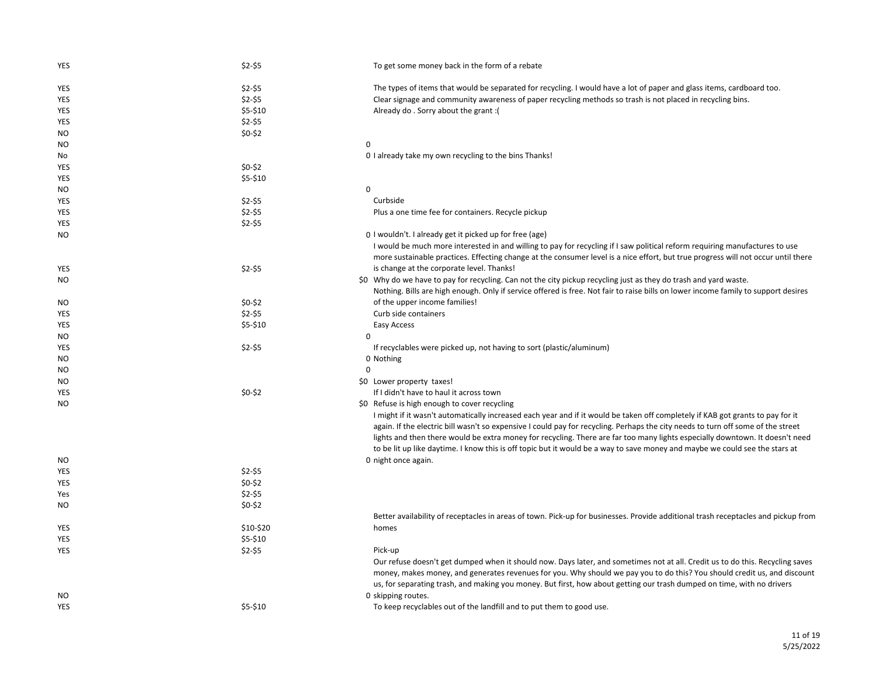| YES        | $$2-$5$   | To get some money back in the form of a rebate                                                                                     |
|------------|-----------|------------------------------------------------------------------------------------------------------------------------------------|
| <b>YES</b> | \$2-\$5   | The types of items that would be separated for recycling. I would have a lot of paper and glass items, cardboard too.              |
| YES        | $$2-$5$   | Clear signage and community awareness of paper recycling methods so trash is not placed in recycling bins.                         |
| YES        | \$5-\$10  | Already do . Sorry about the grant : (                                                                                             |
| YES        | $$2-$5$   |                                                                                                                                    |
| NO         | $$0-$2$   |                                                                                                                                    |
| <b>NO</b>  |           | 0                                                                                                                                  |
| No         |           | 0 I already take my own recycling to the bins Thanks!                                                                              |
| YES        | $$0-$2$   |                                                                                                                                    |
| YES        | \$5-\$10  |                                                                                                                                    |
| NO.        |           | $\pmb{0}$                                                                                                                          |
| <b>YES</b> | $$2-$5$   | Curbside                                                                                                                           |
| YES        | $$2-$5$   | Plus a one time fee for containers. Recycle pickup                                                                                 |
| <b>YES</b> | $$2-$5$   |                                                                                                                                    |
| <b>NO</b>  |           | 0 I wouldn't. I already get it picked up for free (age)                                                                            |
|            |           | I would be much more interested in and willing to pay for recycling if I saw political reform requiring manufactures to use        |
|            |           | more sustainable practices. Effecting change at the consumer level is a nice effort, but true progress will not occur until there  |
| YES        | $$2-$5$   | is change at the corporate level. Thanks!                                                                                          |
| <b>NO</b>  |           | \$0 Why do we have to pay for recycling. Can not the city pickup recycling just as they do trash and yard waste.                   |
|            |           | Nothing. Bills are high enough. Only if service offered is free. Not fair to raise bills on lower income family to support desires |
| <b>NO</b>  | $$0-$2$   | of the upper income families!                                                                                                      |
| YES        | $$2-$5$   | Curb side containers                                                                                                               |
| <b>YES</b> | \$5-\$10  | Easy Access                                                                                                                        |
| <b>NO</b>  |           | 0                                                                                                                                  |
| <b>YES</b> | $$2-$5$   | If recyclables were picked up, not having to sort (plastic/aluminum)                                                               |
| <b>NO</b>  |           | 0 Nothing                                                                                                                          |
| <b>NO</b>  |           | $\mathbf 0$                                                                                                                        |
| <b>NO</b>  |           | \$0 Lower property taxes!                                                                                                          |
| <b>YES</b> | $$0-$2$   | If I didn't have to haul it across town                                                                                            |
| <b>NO</b>  |           | \$0 Refuse is high enough to cover recycling                                                                                       |
|            |           | I might if it wasn't automatically increased each year and if it would be taken off completely if KAB got grants to pay for it     |
|            |           | again. If the electric bill wasn't so expensive I could pay for recycling. Perhaps the city needs to turn off some of the street   |
|            |           | lights and then there would be extra money for recycling. There are far too many lights especially downtown. It doesn't need       |
|            |           | to be lit up like daytime. I know this is off topic but it would be a way to save money and maybe we could see the stars at        |
| <b>NO</b>  |           | 0 night once again.                                                                                                                |
| <b>YES</b> | $$2-$5$   |                                                                                                                                    |
| YES        | $$0-$2$   |                                                                                                                                    |
| Yes        | $$2-$5$   |                                                                                                                                    |
| <b>NO</b>  | $$0-$2$   |                                                                                                                                    |
|            |           | Better availability of receptacles in areas of town. Pick-up for businesses. Provide additional trash receptacles and pickup from  |
| YES        | \$10-\$20 | homes                                                                                                                              |
| YES        | \$5-\$10  |                                                                                                                                    |
| YES        | $$2-$5$   | Pick-up                                                                                                                            |
|            |           | Our refuse doesn't get dumped when it should now. Days later, and sometimes not at all. Credit us to do this. Recycling saves      |
|            |           | money, makes money, and generates revenues for you. Why should we pay you to do this? You should credit us, and discount           |
|            |           | us, for separating trash, and making you money. But first, how about getting our trash dumped on time, with no drivers             |
| NO         |           | 0 skipping routes.                                                                                                                 |
| YES        | \$5-\$10  | To keep recyclables out of the landfill and to put them to good use.                                                               |
|            |           |                                                                                                                                    |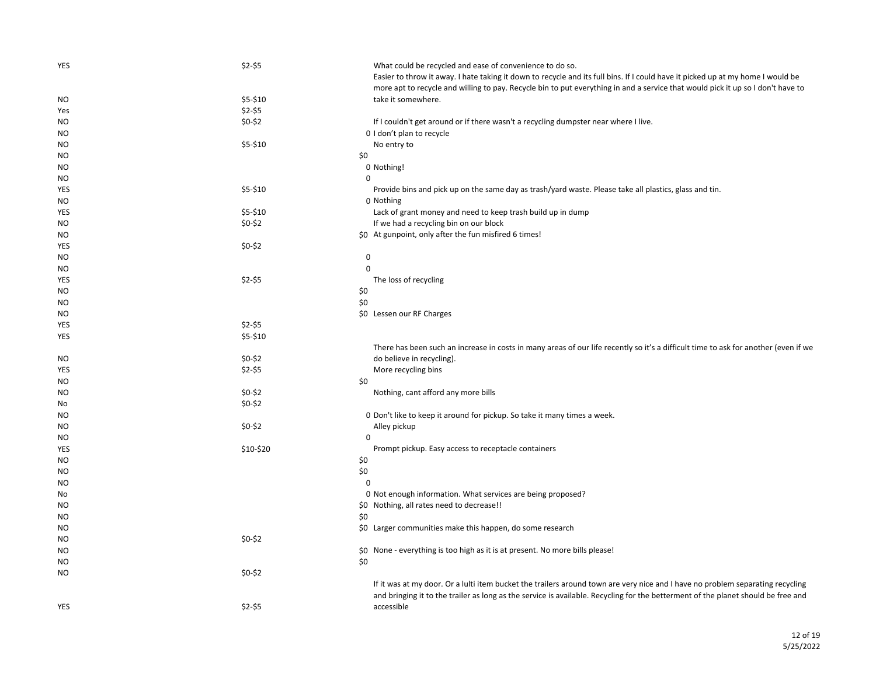| YES            | $$2-$5$   | What could be recycled and ease of convenience to do so.                                                                            |
|----------------|-----------|-------------------------------------------------------------------------------------------------------------------------------------|
|                |           | Easier to throw it away. I hate taking it down to recycle and its full bins. If I could have it picked up at my home I would be     |
|                |           | more apt to recycle and willing to pay. Recycle bin to put everything in and a service that would pick it up so I don't have to     |
| ΝO             | \$5-\$10  | take it somewhere.                                                                                                                  |
| Yes            | $$2-$5$   |                                                                                                                                     |
| NO             | $$0-$2$   | If I couldn't get around or if there wasn't a recycling dumpster near where I live.                                                 |
| NO             |           | 0 I don't plan to recycle                                                                                                           |
| NO             | \$5-\$10  | No entry to                                                                                                                         |
| NO             |           | \$0                                                                                                                                 |
| NO             |           | 0 Nothing!                                                                                                                          |
| NO             |           | 0                                                                                                                                   |
| YES            | \$5-\$10  | Provide bins and pick up on the same day as trash/yard waste. Please take all plastics, glass and tin.                              |
| ΝO             |           | 0 Nothing                                                                                                                           |
| YES            | \$5-\$10  | Lack of grant money and need to keep trash build up in dump                                                                         |
| NO             | \$0-\$2   | If we had a recycling bin on our block                                                                                              |
| ΝO             |           | \$0 At gunpoint, only after the fun misfired 6 times!                                                                               |
| YES            | $$0-$2$   |                                                                                                                                     |
| NO             |           | $\mathbf 0$                                                                                                                         |
| <b>NO</b>      |           | $\mathbf 0$                                                                                                                         |
| YES            | $$2-$5$   | The loss of recycling                                                                                                               |
| NO             |           | \$0                                                                                                                                 |
| NO             |           | \$0                                                                                                                                 |
| ΝO             |           | \$0 Lessen our RF Charges                                                                                                           |
| YES            | $$2-$5$   |                                                                                                                                     |
| YES            | \$5-\$10  |                                                                                                                                     |
|                |           | There has been such an increase in costs in many areas of our life recently so it's a difficult time to ask for another (even if we |
| ΝO             | $$0-$2$   | do believe in recycling).                                                                                                           |
| YES            | $$2-$5$   | More recycling bins                                                                                                                 |
| ΝO             |           | \$0                                                                                                                                 |
| NO             | $$0-$2$   | Nothing, cant afford any more bills                                                                                                 |
| No             | $$0-$2$   |                                                                                                                                     |
| NO             |           | 0 Don't like to keep it around for pickup. So take it many times a week.                                                            |
| NO             | $$0-$2$   | Alley pickup                                                                                                                        |
| NO             |           | $\mathbf 0$                                                                                                                         |
| YES            | \$10-\$20 | Prompt pickup. Easy access to receptacle containers                                                                                 |
| NO             |           | \$0                                                                                                                                 |
| NO             |           | \$0                                                                                                                                 |
| NO             |           | $\mathbf 0$                                                                                                                         |
| No             |           | 0 Not enough information. What services are being proposed?                                                                         |
| NO             |           | \$0 Nothing, all rates need to decrease!!                                                                                           |
| NO             |           | \$0                                                                                                                                 |
| NO             |           | \$0 Larger communities make this happen, do some research                                                                           |
| N <sub>O</sub> | $$0-$2$   |                                                                                                                                     |
| NO             |           | \$0 None - everything is too high as it is at present. No more bills please!                                                        |
| NO             |           | \$0                                                                                                                                 |
| NO             | $$0-$2$   |                                                                                                                                     |
|                |           | If it was at my door. Or a lulti item bucket the trailers around town are very nice and I have no problem separating recycling      |
|                |           | and bringing it to the trailer as long as the service is available. Recycling for the betterment of the planet should be free and   |
| YES            | $$2-$5$   | accessible                                                                                                                          |
|                |           |                                                                                                                                     |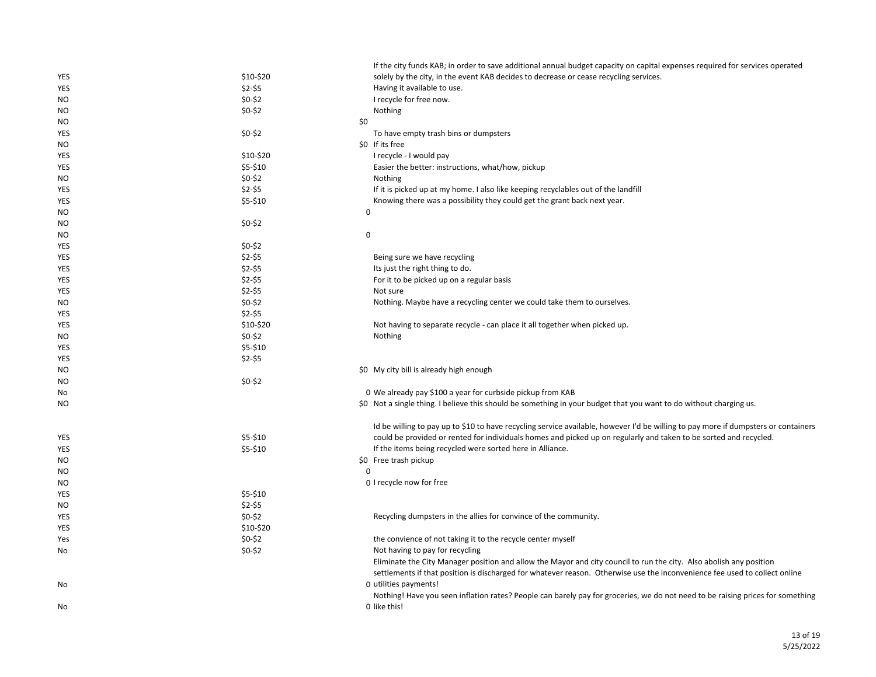|            |           | If the city funds KAB; in order to save additional annual budget capacity on capital expenses required for services operated       |
|------------|-----------|------------------------------------------------------------------------------------------------------------------------------------|
| YES        | \$10-\$20 | solely by the city, in the event KAB decides to decrease or cease recycling services.                                              |
| YES        | \$2-\$5   | Having it available to use.                                                                                                        |
| NO.        | $$0-$2$   | I recycle for free now.                                                                                                            |
| NO         | $$0-$2$   | Nothing                                                                                                                            |
| NO.        |           | \$0                                                                                                                                |
| YES        | $$0-$2$   | To have empty trash bins or dumpsters                                                                                              |
| NO.        |           | \$0 If its free                                                                                                                    |
| YES        | \$10-\$20 | I recycle - I would pay                                                                                                            |
| <b>YES</b> | \$5-\$10  | Easier the better: instructions, what/how, pickup                                                                                  |
| <b>NO</b>  | $$0-$2$   | Nothing                                                                                                                            |
| YES        | \$2-\$5   | If it is picked up at my home. I also like keeping recyclables out of the landfill                                                 |
| YES        | \$5-\$10  | Knowing there was a possibility they could get the grant back next year.                                                           |
| NO         |           | $\mathbf 0$                                                                                                                        |
| NO         | $$0-$2$   |                                                                                                                                    |
| NO         |           | $\mathbf 0$                                                                                                                        |
| YES        | $$0-$2$   |                                                                                                                                    |
| YES        | \$2-\$5   | Being sure we have recycling                                                                                                       |
| YES        | \$2-\$5   | Its just the right thing to do.                                                                                                    |
| YES        | $$2-$5$   | For it to be picked up on a regular basis                                                                                          |
| YES        | \$2-\$5   | Not sure                                                                                                                           |
| NO.        | $$0-$2$   | Nothing. Maybe have a recycling center we could take them to ourselves.                                                            |
| YES        | $$2-$5$   |                                                                                                                                    |
| YES        | \$10-\$20 | Not having to separate recycle - can place it all together when picked up.                                                         |
| NO.        | $$0-$2$   | Nothing                                                                                                                            |
| YES        | \$5-\$10  |                                                                                                                                    |
| YES        | $$2-$5$   |                                                                                                                                    |
| <b>NO</b>  |           | \$0 My city bill is already high enough                                                                                            |
| NO         | $$0-$2$   |                                                                                                                                    |
| No         |           | 0 We already pay \$100 a year for curbside pickup from KAB                                                                         |
| <b>NO</b>  |           | \$0 Not a single thing. I believe this should be something in your budget that you want to do without charging us.                 |
|            |           |                                                                                                                                    |
|            |           | Id be willing to pay up to \$10 to have recycling service available, however I'd be willing to pay more if dumpsters or containers |
| YES        | \$5-\$10  | could be provided or rented for individuals homes and picked up on regularly and taken to be sorted and recycled.                  |
| YES        | \$5-\$10  | If the items being recycled were sorted here in Alliance.                                                                          |
| NO         |           | \$0 Free trash pickup                                                                                                              |
| <b>NO</b>  |           | $\mathbf 0$                                                                                                                        |
| NO         |           | 0 I recycle now for free                                                                                                           |
| YES        | \$5-\$10  |                                                                                                                                    |
| NO         | \$2-\$5   |                                                                                                                                    |
| YES        | $$0-$2$   | Recycling dumpsters in the allies for convince of the community.                                                                   |
| YES        | \$10-\$20 |                                                                                                                                    |
|            |           |                                                                                                                                    |
| Yes        | $$0-$2$   | the convience of not taking it to the recycle center myself                                                                        |
| No         | $$0-$2$   | Not having to pay for recycling                                                                                                    |
|            |           | Eliminate the City Manager position and allow the Mayor and city council to run the city. Also abolish any position                |
|            |           | settlements if that position is discharged for whatever reason. Otherwise use the inconvenience fee used to collect online         |
| No         |           | 0 utilities payments!                                                                                                              |
|            |           | Nothing! Have you seen inflation rates? People can barely pay for groceries, we do not need to be raising prices for something     |
| No         |           | 0 like this!                                                                                                                       |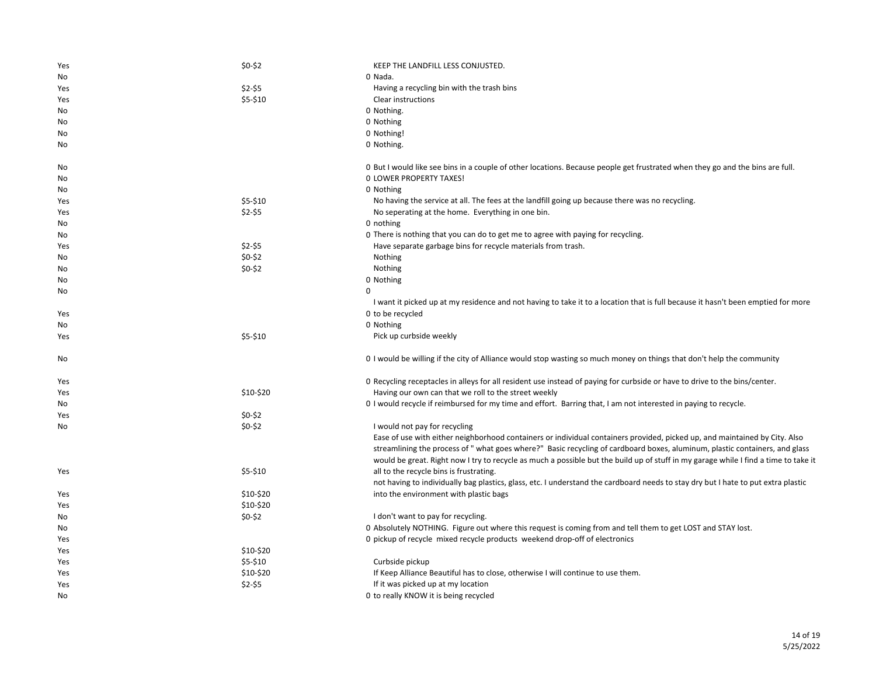| Yes | $$0-$2$   | KEEP THE LANDFILL LESS CONJUSTED.                                                                                                                                                                                                                                                                                                                                                               |
|-----|-----------|-------------------------------------------------------------------------------------------------------------------------------------------------------------------------------------------------------------------------------------------------------------------------------------------------------------------------------------------------------------------------------------------------|
| No  |           | 0 Nada.                                                                                                                                                                                                                                                                                                                                                                                         |
| Yes | $$2-$5$   | Having a recycling bin with the trash bins                                                                                                                                                                                                                                                                                                                                                      |
| Yes | \$5-\$10  | Clear instructions                                                                                                                                                                                                                                                                                                                                                                              |
| No  |           | 0 Nothing.                                                                                                                                                                                                                                                                                                                                                                                      |
| No  |           | 0 Nothing                                                                                                                                                                                                                                                                                                                                                                                       |
| No  |           | 0 Nothing!                                                                                                                                                                                                                                                                                                                                                                                      |
| No  |           | 0 Nothing.                                                                                                                                                                                                                                                                                                                                                                                      |
| No  |           | O But I would like see bins in a couple of other locations. Because people get frustrated when they go and the bins are full.                                                                                                                                                                                                                                                                   |
| No  |           | <b>0 LOWER PROPERTY TAXES!</b>                                                                                                                                                                                                                                                                                                                                                                  |
| No  |           | 0 Nothing                                                                                                                                                                                                                                                                                                                                                                                       |
| Yes | \$5-\$10  | No having the service at all. The fees at the landfill going up because there was no recycling.                                                                                                                                                                                                                                                                                                 |
| Yes | $$2-$5$   | No seperating at the home. Everything in one bin.                                                                                                                                                                                                                                                                                                                                               |
| No  |           | 0 nothing                                                                                                                                                                                                                                                                                                                                                                                       |
| No  |           | O There is nothing that you can do to get me to agree with paying for recycling.                                                                                                                                                                                                                                                                                                                |
| Yes | $$2-$5$   | Have separate garbage bins for recycle materials from trash.                                                                                                                                                                                                                                                                                                                                    |
| No  | $$0-$2$   | Nothing                                                                                                                                                                                                                                                                                                                                                                                         |
| No  | $$0-$2$   | Nothing                                                                                                                                                                                                                                                                                                                                                                                         |
| No  |           | 0 Nothing                                                                                                                                                                                                                                                                                                                                                                                       |
| No  |           | 0                                                                                                                                                                                                                                                                                                                                                                                               |
|     |           | I want it picked up at my residence and not having to take it to a location that is full because it hasn't been emptied for more                                                                                                                                                                                                                                                                |
| Yes |           | 0 to be recycled                                                                                                                                                                                                                                                                                                                                                                                |
| No  |           | 0 Nothing                                                                                                                                                                                                                                                                                                                                                                                       |
| Yes | \$5-\$10  | Pick up curbside weekly                                                                                                                                                                                                                                                                                                                                                                         |
| No  |           | 0 I would be willing if the city of Alliance would stop wasting so much money on things that don't help the community                                                                                                                                                                                                                                                                           |
| Yes |           | O Recycling receptacles in alleys for all resident use instead of paying for curbside or have to drive to the bins/center.                                                                                                                                                                                                                                                                      |
| Yes | \$10-\$20 | Having our own can that we roll to the street weekly                                                                                                                                                                                                                                                                                                                                            |
| No  |           | 0 I would recycle if reimbursed for my time and effort. Barring that, I am not interested in paying to recycle.                                                                                                                                                                                                                                                                                 |
| Yes | $$0-$2$   |                                                                                                                                                                                                                                                                                                                                                                                                 |
| No  | $$0-$2$   | I would not pay for recycling                                                                                                                                                                                                                                                                                                                                                                   |
|     |           | Ease of use with either neighborhood containers or individual containers provided, picked up, and maintained by City. Also<br>streamlining the process of "what goes where?" Basic recycling of cardboard boxes, aluminum, plastic containers, and glass<br>would be great. Right now I try to recycle as much a possible but the build up of stuff in my garage while I find a time to take it |
| Yes | \$5-\$10  | all to the recycle bins is frustrating.<br>not having to individually bag plastics, glass, etc. I understand the cardboard needs to stay dry but I hate to put extra plastic                                                                                                                                                                                                                    |
| Yes | \$10-\$20 | into the environment with plastic bags                                                                                                                                                                                                                                                                                                                                                          |
| Yes | \$10-\$20 |                                                                                                                                                                                                                                                                                                                                                                                                 |
| No  | $$0-$2$   | I don't want to pay for recycling.                                                                                                                                                                                                                                                                                                                                                              |
| No  |           | 0 Absolutely NOTHING. Figure out where this request is coming from and tell them to get LOST and STAY lost.                                                                                                                                                                                                                                                                                     |
|     |           | 0 pickup of recycle mixed recycle products weekend drop-off of electronics                                                                                                                                                                                                                                                                                                                      |
| Yes | \$10-\$20 |                                                                                                                                                                                                                                                                                                                                                                                                 |
| Yes | \$5-\$10  |                                                                                                                                                                                                                                                                                                                                                                                                 |
| Yes |           | Curbside pickup                                                                                                                                                                                                                                                                                                                                                                                 |
| Yes | \$10-\$20 | If Keep Alliance Beautiful has to close, otherwise I will continue to use them.                                                                                                                                                                                                                                                                                                                 |
| Yes | $$2-$5$   | If it was picked up at my location                                                                                                                                                                                                                                                                                                                                                              |
| No  |           | 0 to really KNOW it is being recycled                                                                                                                                                                                                                                                                                                                                                           |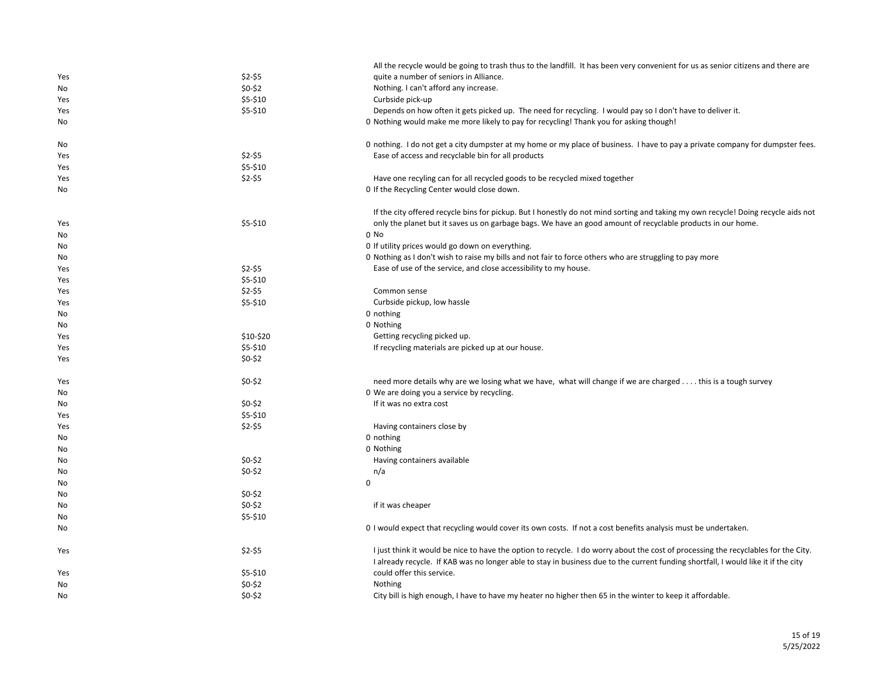|     |           | All the recycle would be going to trash thus to the landfill. It has been very convenient for us as senior citizens and there are  |
|-----|-----------|------------------------------------------------------------------------------------------------------------------------------------|
| Yes | \$2-\$5   | quite a number of seniors in Alliance.                                                                                             |
| No  | $$0-$2$   | Nothing. I can't afford any increase.                                                                                              |
| Yes | \$5-\$10  | Curbside pick-up                                                                                                                   |
| Yes | \$5-\$10  | Depends on how often it gets picked up. The need for recycling. I would pay so I don't have to deliver it.                         |
| No  |           | O Nothing would make me more likely to pay for recycling! Thank you for asking though!                                             |
| No  |           | 0 nothing. I do not get a city dumpster at my home or my place of business. I have to pay a private company for dumpster fees.     |
| Yes | $$2-$5$   | Ease of access and recyclable bin for all products                                                                                 |
| Yes | \$5-\$10  |                                                                                                                                    |
| Yes | \$2-\$5   | Have one recyling can for all recycled goods to be recycled mixed together                                                         |
| No  |           | 0 If the Recycling Center would close down.                                                                                        |
|     |           | If the city offered recycle bins for pickup. But I honestly do not mind sorting and taking my own recycle! Doing recycle aids not  |
| Yes | \$5-\$10  | only the planet but it saves us on garbage bags. We have an good amount of recyclable products in our home.                        |
| No  |           | $0$ No                                                                                                                             |
| No  |           | 0 If utility prices would go down on everything.                                                                                   |
| No  |           | 0 Nothing as I don't wish to raise my bills and not fair to force others who are struggling to pay more                            |
| Yes | $$2-$5$   | Ease of use of the service, and close accessibility to my house.                                                                   |
| Yes | \$5-\$10  |                                                                                                                                    |
| Yes | \$2-\$5   | Common sense                                                                                                                       |
| Yes | \$5-\$10  | Curbside pickup, low hassle                                                                                                        |
| No  |           | 0 nothing                                                                                                                          |
| No  |           | 0 Nothing                                                                                                                          |
| Yes | \$10-\$20 | Getting recycling picked up.                                                                                                       |
| Yes | \$5-\$10  | If recycling materials are picked up at our house.                                                                                 |
| Yes | \$0-\$2   |                                                                                                                                    |
| Yes | \$0-\$2   | need more details why are we losing what we have, what will change if we are charged this is a tough survey                        |
| No  |           | 0 We are doing you a service by recycling.                                                                                         |
| No  | $$0-$2$   | If it was no extra cost                                                                                                            |
| Yes | \$5-\$10  |                                                                                                                                    |
| Yes | $$2-$5$   | Having containers close by                                                                                                         |
| No  |           | 0 nothing                                                                                                                          |
| No  |           | 0 Nothing                                                                                                                          |
| No  | $$0-$2$   | Having containers available                                                                                                        |
| No  | \$0-\$2   | n/a                                                                                                                                |
| No  |           | $\mathbf 0$                                                                                                                        |
| No  | $$0-$2$   |                                                                                                                                    |
| No  | $$0-$2$   | if it was cheaper                                                                                                                  |
| No  | \$5-\$10  |                                                                                                                                    |
| No  |           | 0 I would expect that recycling would cover its own costs. If not a cost benefits analysis must be undertaken.                     |
| Yes | \$2-\$5   | I just think it would be nice to have the option to recycle. I do worry about the cost of processing the recyclables for the City. |
|     |           | I already recycle. If KAB was no longer able to stay in business due to the current funding shortfall, I would like it if the city |
| Yes | \$5-\$10  | could offer this service.                                                                                                          |
| No  | $$0-$2$   | Nothing                                                                                                                            |
| No  | $$0-$2$   | City bill is high enough, I have to have my heater no higher then 65 in the winter to keep it affordable.                          |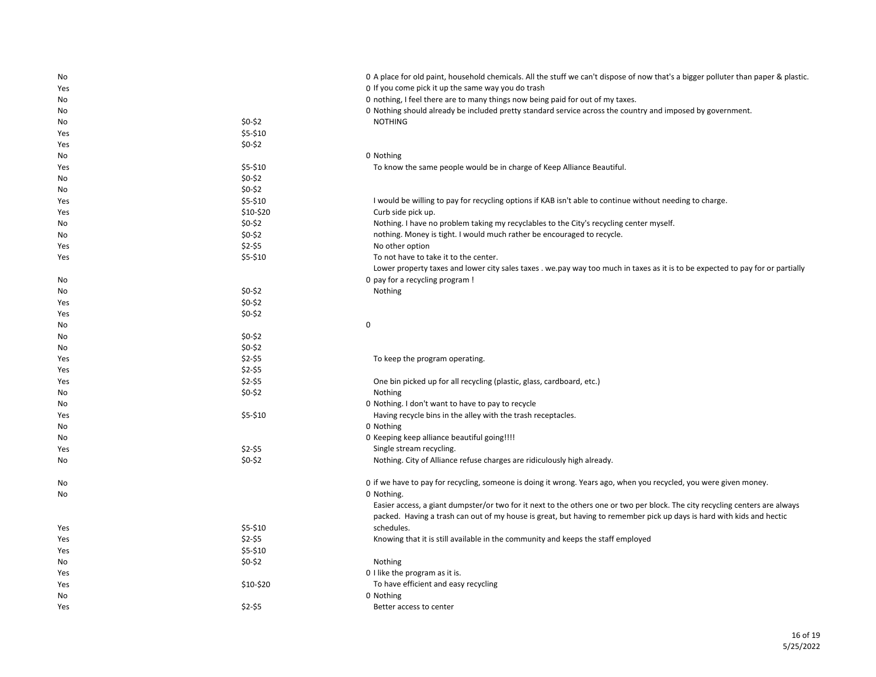| No  |           | O A place for old paint, household chemicals. All the stuff we can't dispose of now that's a bigger polluter than paper & plastic. |
|-----|-----------|------------------------------------------------------------------------------------------------------------------------------------|
| Yes |           | 0 If you come pick it up the same way you do trash                                                                                 |
| No  |           | 0 nothing, I feel there are to many things now being paid for out of my taxes.                                                     |
| No  |           | 0 Nothing should already be included pretty standard service across the country and imposed by government.                         |
| No  | $$0-$2$   | <b>NOTHING</b>                                                                                                                     |
| Yes | $$5-$10$  |                                                                                                                                    |
| Yes | $$0-$2$   |                                                                                                                                    |
| No  |           | 0 Nothing                                                                                                                          |
| Yes | $$5-$10$  | To know the same people would be in charge of Keep Alliance Beautiful.                                                             |
| No  | $$0-$2$   |                                                                                                                                    |
| No  | $$0-$2$   |                                                                                                                                    |
| Yes | $$5-$10$  | I would be willing to pay for recycling options if KAB isn't able to continue without needing to charge.                           |
| Yes | \$10-\$20 | Curb side pick up.                                                                                                                 |
| No  | $$0-$2$   | Nothing. I have no problem taking my recyclables to the City's recycling center myself.                                            |
| No  | $$0-$2$   | nothing. Money is tight. I would much rather be encouraged to recycle.                                                             |
| Yes | $$2-$5$   | No other option                                                                                                                    |
| Yes | $$5-$10$  | To not have to take it to the center.                                                                                              |
|     |           | Lower property taxes and lower city sales taxes . we pay way too much in taxes as it is to be expected to pay for or partially     |
| No  |           | 0 pay for a recycling program !                                                                                                    |
| No  | $$0-$2$   | Nothing                                                                                                                            |
| Yes | $$0-$2$   |                                                                                                                                    |
| Yes | $$0-$2$   |                                                                                                                                    |
| No  |           | 0                                                                                                                                  |
| No  | $$0-$2$   |                                                                                                                                    |
| No  | $$0-$2$   |                                                                                                                                    |
| Yes | $$2-$5$   | To keep the program operating.                                                                                                     |
| Yes | $$2-$5$   |                                                                                                                                    |
| Yes | $$2-$5$   | One bin picked up for all recycling (plastic, glass, cardboard, etc.)                                                              |
| No  | $$0-$2$   | Nothing                                                                                                                            |
| No  |           | 0 Nothing. I don't want to have to pay to recycle                                                                                  |
| Yes | $$5-$10$  | Having recycle bins in the alley with the trash receptacles.                                                                       |
| No  |           | 0 Nothing                                                                                                                          |
| No  |           | 0 Keeping keep alliance beautiful going!!!!                                                                                        |
| Yes | $$2-$5$   | Single stream recycling.                                                                                                           |
| No  | $$0-$2$   | Nothing. City of Alliance refuse charges are ridiculously high already.                                                            |
| No  |           | 0 if we have to pay for recycling, someone is doing it wrong. Years ago, when you recycled, you were given money.                  |
| No  |           | 0 Nothing.                                                                                                                         |
|     |           | Easier access, a giant dumpster/or two for it next to the others one or two per block. The city recycling centers are always       |
|     |           | packed. Having a trash can out of my house is great, but having to remember pick up days is hard with kids and hectic              |
| Yes | \$5-\$10  | schedules.                                                                                                                         |
| Yes | $$2-$5$   | Knowing that it is still available in the community and keeps the staff employed                                                   |
| Yes | $$5-$10$  |                                                                                                                                    |
| No  | $$0-$2$   | Nothing                                                                                                                            |
| Yes |           | 0 I like the program as it is.                                                                                                     |
| Yes | \$10-\$20 | To have efficient and easy recycling                                                                                               |
| No  |           | 0 Nothing                                                                                                                          |
| Yes | $$2-$5$   | Better access to center                                                                                                            |
|     |           |                                                                                                                                    |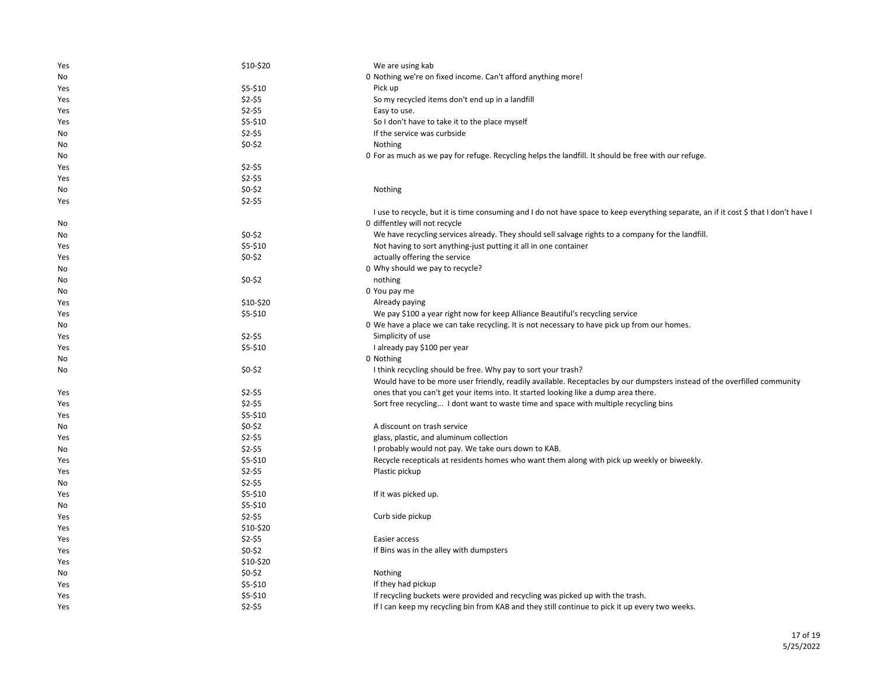| Yes | \$10-\$20 | We are using kab                                                                                                                     |
|-----|-----------|--------------------------------------------------------------------------------------------------------------------------------------|
| No  |           | 0 Nothing we're on fixed income. Can't afford anything more!                                                                         |
| Yes | \$5-\$10  | Pick up                                                                                                                              |
| Yes | $$2-$5$   | So my recycled items don't end up in a landfill                                                                                      |
| Yes | $$2-$5$   | Easy to use.                                                                                                                         |
| Yes | $$5-$10$  | So I don't have to take it to the place myself                                                                                       |
| No  | $$2-$5$   | If the service was curbside                                                                                                          |
| No  | $$0-$2$   | Nothing                                                                                                                              |
| No  |           | O For as much as we pay for refuge. Recycling helps the landfill. It should be free with our refuge.                                 |
| Yes | $$2-$5$   |                                                                                                                                      |
| Yes | $$2-$5$   |                                                                                                                                      |
| No  | $$0-$2$   | Nothing                                                                                                                              |
| Yes | $$2-$5$   |                                                                                                                                      |
|     |           | I use to recycle, but it is time consuming and I do not have space to keep everything separate, an if it cost \$ that I don't have I |
| No  |           | 0 diffentley will not recycle                                                                                                        |
| No  | $$0-$2$   | We have recycling services already. They should sell salvage rights to a company for the landfill.                                   |
| Yes | $$5-$10$  | Not having to sort anything-just putting it all in one container                                                                     |
| Yes | $$0-$2$   | actually offering the service                                                                                                        |
| No  |           | 0 Why should we pay to recycle?                                                                                                      |
| No  | $$0-$2$   | nothing                                                                                                                              |
| No  |           | 0 You pay me                                                                                                                         |
| Yes | \$10-\$20 | Already paying                                                                                                                       |
| Yes | \$5-\$10  | We pay \$100 a year right now for keep Alliance Beautiful's recycling service                                                        |
| No  |           | 0 We have a place we can take recycling. It is not necessary to have pick up from our homes.                                         |
| Yes | $$2-$5$   | Simplicity of use                                                                                                                    |
| Yes | $$5-$10$  | I already pay \$100 per year                                                                                                         |
| No  |           | 0 Nothing                                                                                                                            |
| No  | $$0-$2$   | I think recycling should be free. Why pay to sort your trash?                                                                        |
|     |           | Would have to be more user friendly, readily available. Receptacles by our dumpsters instead of the overfilled community             |
| Yes | $$2-$5$   | ones that you can't get your items into. It started looking like a dump area there.                                                  |
| Yes | $$2-$5$   | Sort free recycling I dont want to waste time and space with multiple recycling bins                                                 |
| Yes | $$5-$10$  |                                                                                                                                      |
| No  | $$0-$2$   | A discount on trash service                                                                                                          |
| Yes | \$2-\$5   | glass, plastic, and aluminum collection                                                                                              |
| No  | $$2-55$   | I probably would not pay. We take ours down to KAB.                                                                                  |
| Yes | $$5-$10$  | Recycle recepticals at residents homes who want them along with pick up weekly or biweekly.                                          |
| Yes | $$2-$5$   | Plastic pickup                                                                                                                       |
| No  | $$2-$5$   |                                                                                                                                      |
| Yes | $$5-$10$  | If it was picked up.                                                                                                                 |
| No  | $$5-$10$  |                                                                                                                                      |
| Yes | $$2-$5$   | Curb side pickup                                                                                                                     |
| Yes | \$10-\$20 |                                                                                                                                      |
| Yes | $$2-$5$   | Easier access                                                                                                                        |
| Yes | $$0-$2$   | If Bins was in the alley with dumpsters                                                                                              |
| Yes | \$10-\$20 |                                                                                                                                      |
| No  | $$0-$2$   | Nothing                                                                                                                              |
| Yes | \$5-\$10  | If they had pickup                                                                                                                   |
| Yes | $$5-$10$  | If recycling buckets were provided and recycling was picked up with the trash.                                                       |
| Yes | $$2-$5$   | If I can keep my recycling bin from KAB and they still continue to pick it up every two weeks.                                       |
|     |           |                                                                                                                                      |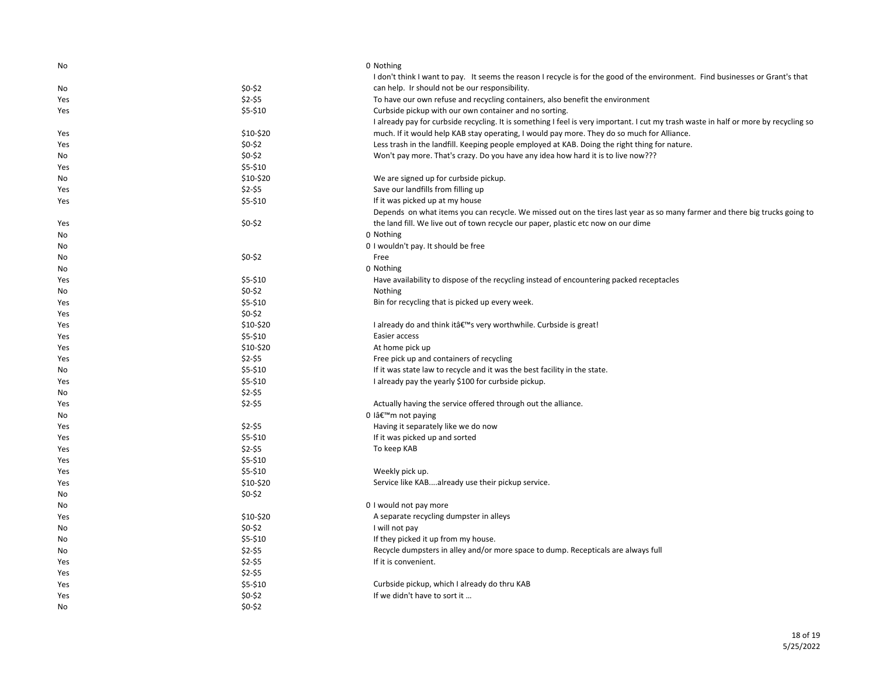| No  |           | 0 Nothing                                                                                                                            |
|-----|-----------|--------------------------------------------------------------------------------------------------------------------------------------|
|     |           | I don't think I want to pay. It seems the reason I recycle is for the good of the environment. Find businesses or Grant's that       |
| No  | $$0-$2$   | can help. Ir should not be our responsibility.                                                                                       |
| Yes | $$2-$5$   | To have our own refuse and recycling containers, also benefit the environment                                                        |
| Yes | \$5-\$10  | Curbside pickup with our own container and no sorting.                                                                               |
|     |           | I already pay for curbside recycling. It is something I feel is very important. I cut my trash waste in half or more by recycling so |
| Yes | \$10-\$20 | much. If it would help KAB stay operating, I would pay more. They do so much for Alliance.                                           |
| Yes | $$0-$2$   | Less trash in the landfill. Keeping people employed at KAB. Doing the right thing for nature.                                        |
| No  | $$0-52$   | Won't pay more. That's crazy. Do you have any idea how hard it is to live now???                                                     |
| Yes | \$5-\$10  |                                                                                                                                      |
| No  | \$10-\$20 | We are signed up for curbside pickup.                                                                                                |
| Yes | $$2-55$   | Save our landfills from filling up                                                                                                   |
| Yes | \$5-\$10  | If it was picked up at my house                                                                                                      |
|     |           | Depends on what items you can recycle. We missed out on the tires last year as so many farmer and there big trucks going to          |
| Yes | $$0-$2$   | the land fill. We live out of town recycle our paper, plastic etc now on our dime                                                    |
| No  |           | 0 Nothing                                                                                                                            |
| No  |           | 0 I wouldn't pay. It should be free                                                                                                  |
| No  | $$0-$2$   | Free                                                                                                                                 |
| No  |           | 0 Nothing                                                                                                                            |
| Yes | \$5-\$10  | Have availability to dispose of the recycling instead of encountering packed receptacles                                             |
| No  | $$0-$2$   | Nothing                                                                                                                              |
| Yes | \$5-\$10  | Bin for recycling that is picked up every week.                                                                                      |
| Yes | $$0-$2$   |                                                                                                                                      |
| Yes | \$10-\$20 | I already do and think it's very worthwhile. Curbside is great!                                                                      |
| Yes | \$5-\$10  | Easier access                                                                                                                        |
| Yes | \$10-\$20 | At home pick up                                                                                                                      |
| Yes | $$2-55$   | Free pick up and containers of recycling                                                                                             |
| No  | \$5-\$10  | If it was state law to recycle and it was the best facility in the state.                                                            |
| Yes | \$5-\$10  | I already pay the yearly \$100 for curbside pickup.                                                                                  |
| No  | \$2-\$5   |                                                                                                                                      |
| Yes | $$2-$5$   | Actually having the service offered through out the alliance.                                                                        |
| No  |           | 0 lâ€ <sup>™</sup> m not paying                                                                                                      |
| Yes | $$2-$5$   | Having it separately like we do now                                                                                                  |
| Yes | \$5-\$10  | If it was picked up and sorted                                                                                                       |
| Yes | $$2-$5$   | To keep KAB                                                                                                                          |
| Yes | \$5-\$10  |                                                                                                                                      |
| Yes | \$5-\$10  | Weekly pick up.                                                                                                                      |
| Yes | \$10-\$20 | Service like KABalready use their pickup service.                                                                                    |
| No  | $$0-$2$   |                                                                                                                                      |
| No  |           | 0 I would not pay more                                                                                                               |
| Yes | \$10-\$20 | A separate recycling dumpster in alleys                                                                                              |
| No  | $$0-$2$   | I will not pay                                                                                                                       |
| No  | \$5-\$10  | If they picked it up from my house.                                                                                                  |
| No  | $$2-$5$   | Recycle dumpsters in alley and/or more space to dump. Recepticals are always full                                                    |
| Yes | $$2-$5$   | If it is convenient.                                                                                                                 |
| Yes | $$2-$5$   |                                                                                                                                      |
| Yes | \$5-\$10  | Curbside pickup, which I already do thru KAB                                                                                         |
| Yes | $$0-$2$   | If we didn't have to sort it                                                                                                         |
| No  | $$0-$2$   |                                                                                                                                      |